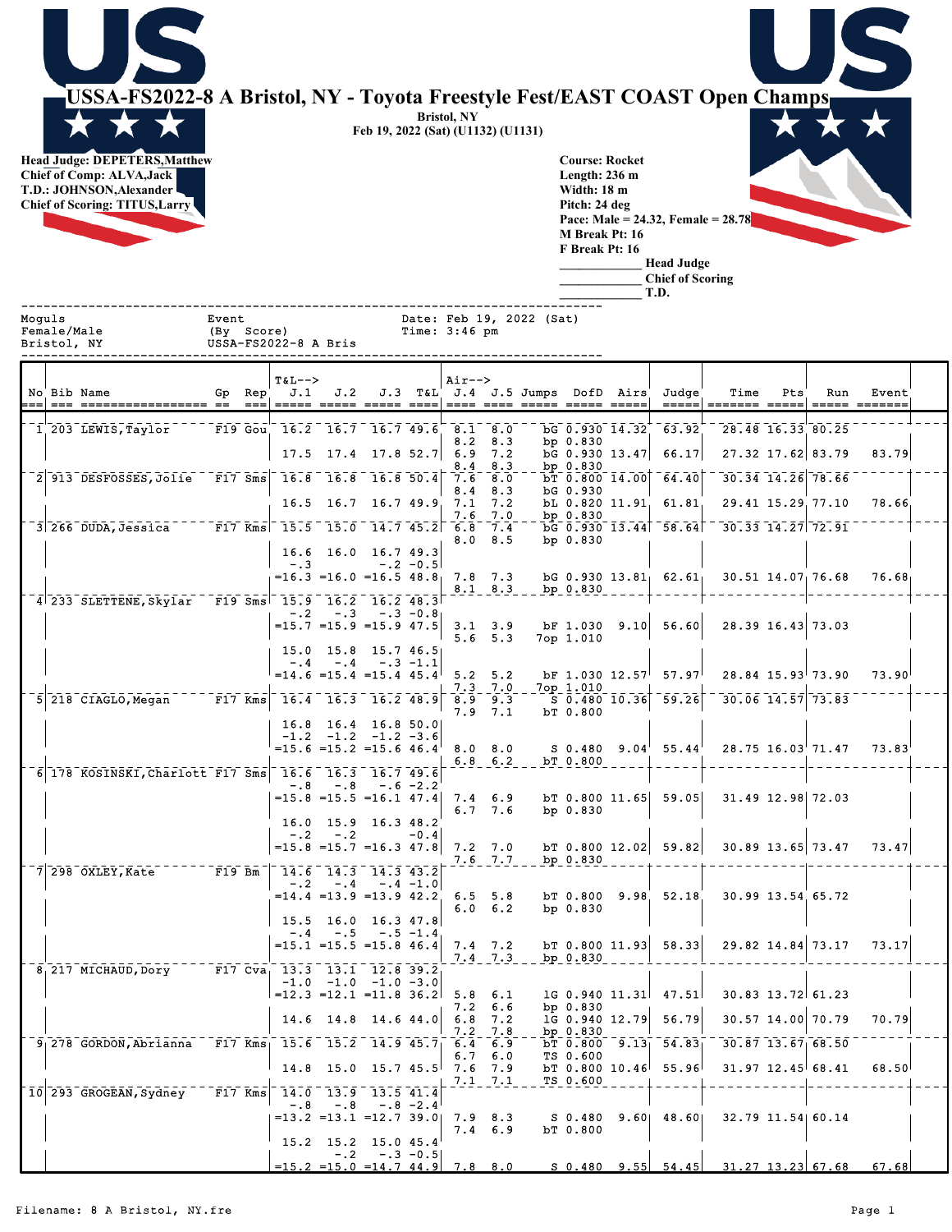$\frac{1}{\star}$ **USSA-FS2022-8 A Bristol, NY - Toyota Freestyle Fest/EAST COAST Open Champs Bristol, NY Feb 19, 2022 (Sat) (U1132) (U1131) Head Judge: DEPETERS,Matthew Course: Rocket Chief of Comp: ALVA,Jack Length: 236 m T.D.: JOHNSON,Alexander Width: 18 m Chief of Scoring: TITUS,Larry Pitch: 24 deg Pace: Male = 24.32, Female = 28.78 M Break Pt: 16 F Break Pt: 16 \_\_\_\_\_\_\_\_\_\_\_\_\_ Head Judge \_\_\_\_\_\_\_\_\_\_\_\_\_ Chief of Scoring \_\_\_\_\_\_\_\_\_\_\_\_\_ T.D.** ------------------------------------------------------------------------------ Moguls Event Date: Feb 19, 2022 (Sat) Time:  $3:46$  pm Bristol, NY USSA-FS2022-8 A Bris ------------------------------------------------------------------------------  $T&L-->$  Air--><br>
J.1 J.2 J.3 T&L J.4 No Bib Name Gp Rep J.1 J.2 J.3 T&L J.4 J.5 Jumps DofD Airs Judge Time Pts Run Event === === ================= == === ===== ===== ===== ==== ==== ==== ===== ===== ===== ===== ======= ===== ===== ======= 8.2 8.3 bp 0.830  $17.5 \quad 17.4 \quad 17.8 \,$   $52.7 |\;$   $6.9 \quad 7.2 \qquad$  bG 0.930  $13.47 |\;$   $66.17 |\;$   $27.32 \,$   $17.62 |\; 83.79$   $83.79$ 

| 1 203 LEWIS, Taylor                                                                                                                                           | F19 Gou 16.2 16.7 16.7 49.6 8.1 8.0 |            |                                                                 |        |                                   |                 |                |            | bG 0.930 14.32 63.92              | 28.48 16.33 80.25                                                                 |                 |  |
|---------------------------------------------------------------------------------------------------------------------------------------------------------------|-------------------------------------|------------|-----------------------------------------------------------------|--------|-----------------------------------|-----------------|----------------|------------|-----------------------------------|-----------------------------------------------------------------------------------|-----------------|--|
|                                                                                                                                                               |                                     |            | $17.5$ $17.4$ $17.8$ $52.7$ 6.9 7.2                             |        |                                   | $8.2 \quad 8.3$ |                | bp $0.830$ | bG 0.930 13.47 66.17              | 27.32 17.62 83.79                                                                 | 83.79           |  |
| 2 913 DESFOSSES, Jolie F17 Sms 16.8 16.8 16.8 50.4                                                                                                            |                                     |            |                                                                 |        | 7.6 8.0                           | $8.4$ $8.3$     |                | bp $0.830$ | $bT$ 0.800 14.00 64.40            | 30.34 14.26 78.66                                                                 |                 |  |
|                                                                                                                                                               |                                     |            | $16.5$ $16.7$ $16.7$ $49.9$ $7.1$                               |        | $8.4 \t 8.3$                      | 7.2             |                | bG 0.930   | bL 0.820 11.91 61.81              | 29.41 15.29 77.10                                                                 | 78.66           |  |
| $3\overline{)266}$ DUDA, Jessica $ -\overline{F17}$ Kms $-15.5$ $15.0$ $-14.7$ $45.2$ $6.8$ $7.4$                                                             |                                     |            |                                                                 |        |                                   | $7.6$ $7.0$     |                | bp $0.830$ | $\overline{bG}$ 0.930 13.44 58.64 | $30.33$ $14.27$ $72.91$                                                           |                 |  |
|                                                                                                                                                               |                                     |            |                                                                 |        |                                   | $8.0$ $8.5$     |                | bp $0.830$ |                                   |                                                                                   |                 |  |
|                                                                                                                                                               |                                     | $-3$       | 16.6 16.0 16.7 49.3<br>$-.2$ $-0.5$                             |        |                                   |                 |                |            |                                   |                                                                                   |                 |  |
|                                                                                                                                                               |                                     |            | $=16.3$ $=16.0$ $=16.5$ 48.8                                    |        | $7.8$ $7.3$                       | $8.1 \t 8.3$    | $bp_0.830$     |            | $bG$ 0.930 13.81 62.61            | $30.51$ $14.07$ 76.68                                                             | 76.68           |  |
| 4 233 SLETTENE, Skylar F19 Sms 15.9 16.2 16.2 48.3                                                                                                            |                                     |            | $-.2$ $-.3$ $-.3$ $-0.8$                                        |        |                                   |                 |                |            |                                   |                                                                                   |                 |  |
|                                                                                                                                                               |                                     |            | $=15.7$ = 15.9 = 15.9 47.5                                      |        | $3.1 \quad 3.9$                   |                 |                |            | bF 1.030 9.10 56.60               | 28.39 16.43 73.03                                                                 |                 |  |
|                                                                                                                                                               |                                     |            | $15.0$ $15.8$ $15.7$ $46.5$                                     |        |                                   | $5.6$ $5.3$     |                | 7op 1.010  |                                   |                                                                                   |                 |  |
|                                                                                                                                                               |                                     |            | $-.4-.4-.3-.1$<br>$=14.6$ = 15.4 = 15.4 45.4                    |        | $5.2$ $5.2$                       |                 |                |            | $BF$ 1.030 12.57 57.97            | $28.84$ $15.93$ 73.90                                                             | $73.90^{\circ}$ |  |
| $5$ 218 CIAGLO, Megan $  F17$ Kms                                                                                                                             |                                     |            | $16.4$ $16.3$ $16.2$ $48.9$                                     |        | $\overline{8.9}$ $\overline{9.3}$ | $7.3$ $7.0$     |                | 7op 1.010  | $50.480$ $10.36$ $59.26$          | $30.06$ $14.57$ $73.83$                                                           |                 |  |
|                                                                                                                                                               |                                     |            | $16.8$ 16.4 16.8 50.0                                           |        |                                   | 7.9 7.1         |                | bT 0.800   |                                   |                                                                                   |                 |  |
|                                                                                                                                                               |                                     |            | $-1.2$ $-1.2$ $-1.2$ $-3.6$                                     |        |                                   |                 |                |            |                                   |                                                                                   |                 |  |
|                                                                                                                                                               |                                     |            | $=15.6$ $=15.2$ $=15.6$ 46.4                                    |        | $8.0$ $8.0$                       | $6.8 \t6.2$     | $-$ bT $0.800$ |            | $S$ 0.480 9.04 55.44              | $28.75$ $16.03$ $71.47$ $73.83$                                                   |                 |  |
| $6\overline{178}$ KOSINSKI, Charlott F17 Sms $16.6\overline{16.3}$ $16.7\overline{49.6}$                                                                      |                                     |            | $-.8 - .8 - .6 - 2.2$                                           |        |                                   |                 |                |            |                                   |                                                                                   |                 |  |
|                                                                                                                                                               |                                     |            | $=15.8$ $=15.5$ $=16.1$ 47.4                                    |        | 7.4 6.9                           | 6.7, 7.6        |                | bp $0.830$ |                                   | bT $0.800$ 11.65 59.05 31.49 12.98 72.03                                          |                 |  |
|                                                                                                                                                               |                                     |            | 16.0 15.9 16.3 48.2                                             |        |                                   |                 |                |            |                                   |                                                                                   |                 |  |
|                                                                                                                                                               |                                     | $-.2 - .2$ | $=15.8$ =15.7 =16.3 47.8                                        | $-0.4$ |                                   | 7.2 7.0         |                |            |                                   | bt 0.800 12.02 59.82 30.89 13.65 73.47 73.47                                      |                 |  |
| $\lceil 7 \rceil$ 298 $\lceil 0 \text{XLEY}, \text{Kate} \rceil$ - - - - - - $\lceil \text{FI9}\rceil$ Bm $\lceil 14.6 \rceil$ 14.3 $\lceil 14.3 \rceil$ 43.2 |                                     |            |                                                                 |        |                                   | $7.6 - 7.7$     | bp 0.830       |            |                                   |                                                                                   |                 |  |
|                                                                                                                                                               |                                     |            | $-.2 - .4 - .4 - 1.0$<br>$=14.4$ $=13.9$ $=13.9$ $42.2$ 6.5 5.8 |        |                                   |                 |                |            | $bT$ 0.800 9.98 52.18             | 30.99 13.54 65.72                                                                 |                 |  |
|                                                                                                                                                               |                                     |            | $15.5$ 16.0 16.3 47.8                                           |        |                                   | $6.0 \t6.2$     |                | bp $0.830$ |                                   |                                                                                   |                 |  |
|                                                                                                                                                               |                                     |            | $-.4-.5-.5-.5$                                                  |        |                                   |                 |                |            |                                   |                                                                                   |                 |  |
|                                                                                                                                                               |                                     |            | $=15.1$ $=15.5$ $=15.8$ 46.4                                    |        | $7.4$ $7.2$                       | $7.4$ $7.3$     | bp 0.830       |            | $bT$ 0.800 11.93 58.33            | 29.82 14.84 73.17 73.17                                                           |                 |  |
| 8 217 MICHAUD, Dory F17 Cva 13.3 13.1 12.8 39.2                                                                                                               |                                     |            | $-1.0$ $-1.0$ $-1.0$ $-3.0$                                     |        |                                   |                 |                |            |                                   |                                                                                   |                 |  |
|                                                                                                                                                               |                                     |            | $=12.3$ $=12.1$ $=11.8$ 36.2                                    |        | $5.8 \t6.1$                       | $7.2\quad 6.6$  |                | bp $0.830$ | 1G 0.940 11.31 47.51              | 30.83 13.72 61.23                                                                 |                 |  |
|                                                                                                                                                               |                                     |            | $14.6$ 14.8 14.6 44.0                                           |        | 6.8<br>7.2                        | 7.2<br>7.8      |                | bp $0.830$ | 1G 0.940 12.79 56.79              | 30.57 14.00 70.79                                                                 | 70.79           |  |
| $9_1$ 278 GORDON, Abrianna F17 Kms 15.6 15.2 14.9 45.7                                                                                                        |                                     |            |                                                                 |        | $6.4 \quad 6.9$                   |                 |                |            | bT $0.800$ $9.13$ $54.83$         | 30.87 13.67 68.50                                                                 |                 |  |
|                                                                                                                                                               |                                     |            | $14.8$ 15.0 15.7 45.5 7.6 7.9                                   |        |                                   | $6.7 \quad 6.0$ |                | TS 0.600   | $bT$ 0.800 10.46 55.96            | $31.97$ $12.45$ 68.41                                                             | 68.50           |  |
| $10$ 293 GROGEAN, Sydney - F17 Kms 14.0 13.9 13.5 41.4                                                                                                        |                                     |            |                                                                 |        |                                   | $7.1 - 7.1$     | $TS_0.600$     |            |                                   |                                                                                   |                 |  |
|                                                                                                                                                               |                                     |            | $-.8 - .8 - .8 - 2.4$<br>$=13.2$ $=13.1$ $=12.7$ 39.0 7.9 8.3   |        |                                   |                 |                |            |                                   | S 0.480 9.60 48.60 32.79 11.54 60.14                                              |                 |  |
|                                                                                                                                                               |                                     |            | $15.2$ $15.2$ $15.0$ $45.4$                                     |        |                                   | $7.4 \t6.9$     |                | bT 0.800   |                                   |                                                                                   |                 |  |
|                                                                                                                                                               |                                     |            | $-.2 - .3 - 0.5$                                                |        |                                   |                 |                |            |                                   |                                                                                   |                 |  |
|                                                                                                                                                               |                                     |            |                                                                 |        |                                   |                 |                |            |                                   | $=15.2$ $=15.0$ $=14.7$ $44.9$ 7.8 8.0 S 0.480 9.55 54.45 31.27 13.23 67.68 67.68 |                 |  |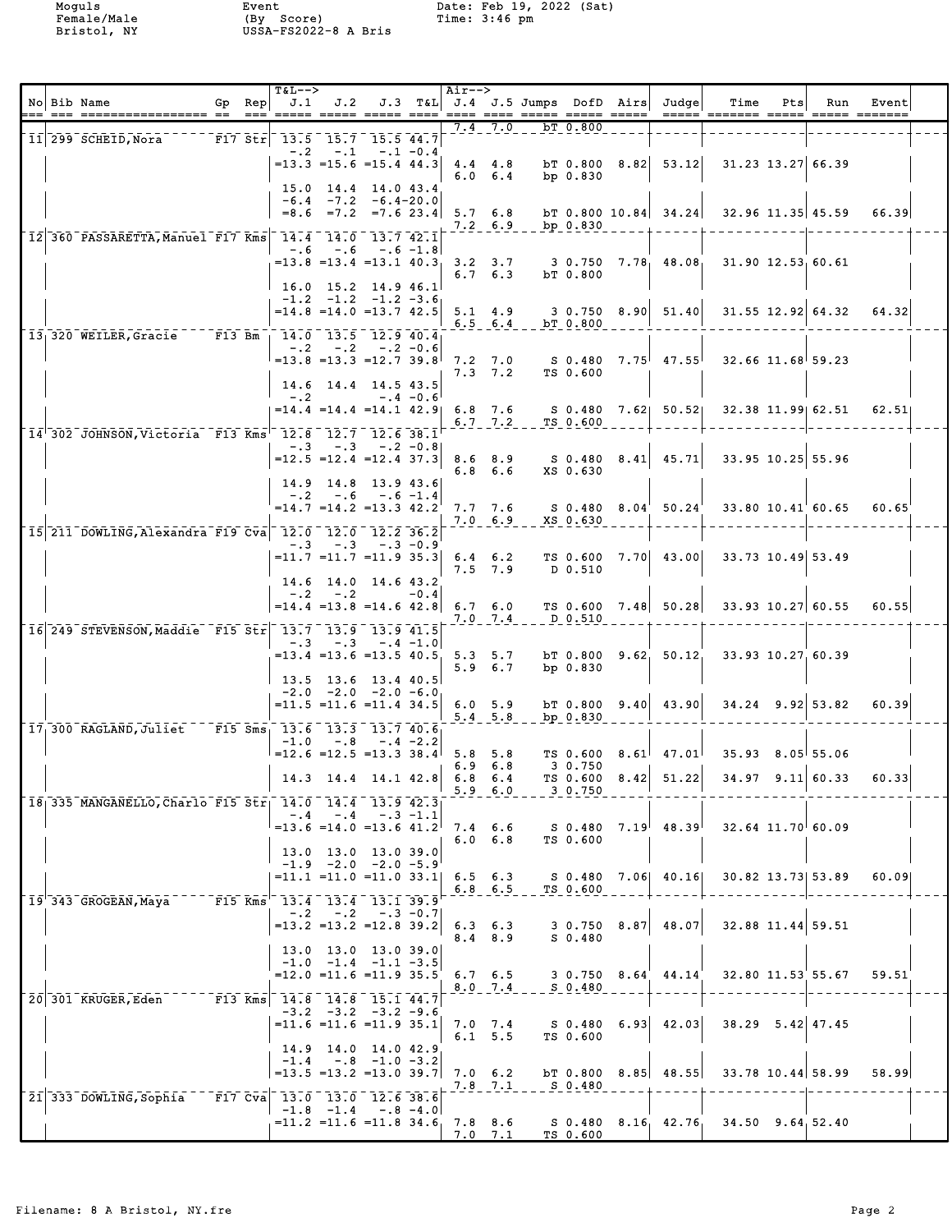|  | No Bib Name<br>=== <sup>'</sup> === ================= ==  ==  == | Gp Rep | <b>T&amp;L--&gt;</b><br>J.1                                                    |               |                                                               |            | Air-->                                    |                                  |                      |            |               | J.2 J.3 T&L J.4 J.5 Jumps DofD Airs Judge        | Time<br><u>----- ------- ----- ----- ------</u>                                             | Pts | Run                   | Event |  |
|--|------------------------------------------------------------------|--------|--------------------------------------------------------------------------------|---------------|---------------------------------------------------------------|------------|-------------------------------------------|----------------------------------|----------------------|------------|---------------|--------------------------------------------------|---------------------------------------------------------------------------------------------|-----|-----------------------|-------|--|
|  | 11 299 SCHEID, Nora F17 Str 13.5 15.7 15.5 44.7                  |        |                                                                                |               |                                                               |            |                                           | $7.4$ $7.0$                      |                      | bT 0.800   |               |                                                  |                                                                                             |     |                       |       |  |
|  |                                                                  |        |                                                                                | $-.2 - .1$    | $-.1 - 0.4$<br>$=13.3$ $=15.6$ $=15.4$ 44.3                   |            |                                           | $4.4$ $4.8$<br>$6.0 \t6.4$       |                      | bp $0.830$ |               | $bT$ 0.800 8.82 53.12                            | 31.23 13.27 66.39                                                                           |     |                       |       |  |
|  |                                                                  |        |                                                                                |               | 15.0 14.4 14.0 43.4<br>$-6.4$ $-7.2$ $-6.4-20.0$              |            | $=8.6$ $=7.2$ $=7.6$ 23.4 5.7 6.8         | 7.2 6.9                          |                      | bp 0.830   |               |                                                  | bt 0.800 10.84 $34.24$ 32.96 11.35 45.59                                                    |     |                       | 66.39 |  |
|  | 12 360 PASSARETTA, Manuel F17 Kms 14.4 14.0 13.7 42.1            |        |                                                                                |               | $-.6$ $-.6$ $-.6$ $-1.8$                                      |            |                                           |                                  |                      |            |               |                                                  |                                                                                             |     |                       |       |  |
|  |                                                                  |        |                                                                                |               | $16.0$ 15.2 14.9 46.1                                         |            |                                           | $6.7 \quad 6.3$                  |                      | bT 0.800   |               |                                                  | $=13.8$ $=13.4$ $=13.1$ $40.3$ $3.2$ $3.7$ $3.0.750$ $7.78$ $48.08$ $31.90$ $12.53$ $60.61$ |     |                       |       |  |
|  |                                                                  |        |                                                                                |               | $-1.2$ $-1.2$ $-1.2$ $-3.6$<br>$=14.8$ $=14.0$ $=13.7$ $42.5$ |            | $5.1 \quad 4.9$                           | $6.5 \t6.4$                      | $ bT_0.800$          |            |               |                                                  | $3\,0.750\,8.90\,51.40\,31.55\,12.92\,64.32\,64.32$                                         |     |                       |       |  |
|  | 13 <sub>1</sub> 320 WEILER, Gracie F13 Bm 14.0 13.5 12.9 40.4    |        |                                                                                |               | $-.2$ $-.2$ $-.2$ $-0.6$                                      |            |                                           |                                  |                      |            |               |                                                  |                                                                                             |     |                       |       |  |
|  |                                                                  |        |                                                                                |               | $=13.8$ $=13.3$ $=12.7$ 39.8                                  |            | 7.2 7.0                                   |                                  |                      |            |               |                                                  | $S$ 0.480 7.75 47.55 32.66 11.68 59.23                                                      |     |                       |       |  |
|  |                                                                  |        |                                                                                |               | 14.6 14.4 14.5 43.5                                           |            |                                           | $7.3$ $7.2$                      |                      | TS 0.600   |               |                                                  |                                                                                             |     |                       |       |  |
|  |                                                                  |        | $-1.2$                                                                         |               | $= 14.4$ $= 14.4$ $= 14.1$ $42.9$                             | $-.4 -0.6$ |                                           | 6.8 7.6                          |                      |            |               |                                                  | S 0.480 7.62 50.52 32.38 11.99 62.51                                                        |     |                       | 62.51 |  |
|  | 14'302 JOHNSON, Victoria F13 Kms' 12.8 12.7 12.6 38.1            |        |                                                                                |               |                                                               |            |                                           |                                  | 6.7 $7.2 - TS_0.600$ |            |               |                                                  |                                                                                             |     |                       |       |  |
|  |                                                                  |        |                                                                                |               | $-.3 - .3 - .2 - 0.8$                                         |            |                                           |                                  |                      |            |               |                                                  |                                                                                             |     |                       |       |  |
|  |                                                                  |        |                                                                                |               | $=12.5$ $=12.4$ $=12.4$ 37.3                                  |            |                                           | 8.6 8.9<br>$6.8\quad 6.6$        |                      | XS 0.630   |               |                                                  | $S$ 0.480 8.41 45.71 33.95 10.25 55.96                                                      |     |                       |       |  |
|  |                                                                  |        |                                                                                |               | $14.9$ $14.8$ $13.9$ $43.6$<br>$-.2 - .6 - .6 - 1.4$          |            |                                           |                                  |                      |            |               |                                                  |                                                                                             |     |                       |       |  |
|  |                                                                  |        |                                                                                |               | $=14.7$ $=14.2$ $=13.3$ $42.2$                                |            | 7.7 7.6                                   | $7.0 \t6.9$                      |                      | XS 0.630   |               | $S$ 0.480 8.04 50.24                             | 33.80 10.41 60.65                                                                           |     |                       | 60.65 |  |
|  | 15 211 DOWLING, Alexandra F19 Cva 12.0 12.0 12.2 36.2            |        |                                                                                |               |                                                               |            |                                           |                                  |                      |            |               |                                                  |                                                                                             |     |                       |       |  |
|  |                                                                  |        |                                                                                |               | $-.3 - .3 - .3 - 0.9$                                         |            | $=$ 11.7 $=$ 11.7 $=$ 11.9 35.3 6.4 6.2   |                                  |                      |            |               |                                                  | TS $0.600$ 7.70 43.00 33.73 10.49 53.49                                                     |     |                       |       |  |
|  |                                                                  |        |                                                                                |               | 14.6 14.0 14.6 43.2                                           |            |                                           | $7.5$ $7.9$                      |                      | D 0.510    |               |                                                  |                                                                                             |     |                       |       |  |
|  |                                                                  |        |                                                                                | $-.2 - .2$    |                                                               | $-0.4$     | $= 14.4$ $= 13.8$ $= 14.6$ $42.8$ 6.7 6.0 |                                  |                      |            |               |                                                  | TS 0.600 7.48 50.28 33.93 10.27 60.55                                                       |     |                       | 60.55 |  |
|  |                                                                  |        |                                                                                |               |                                                               |            |                                           | 7.0 7.4                          | D 0.510              |            |               |                                                  |                                                                                             |     |                       |       |  |
|  | 16 249 STEVENSON, Maddie F15 Str 13.7 13.9 13.9 41.5             |        |                                                                                |               | $-.3 - .3 - .4 - 1.0$                                         |            |                                           |                                  |                      |            |               |                                                  |                                                                                             |     |                       |       |  |
|  |                                                                  |        |                                                                                |               |                                                               |            | $= 13.4$ $= 13.6$ $= 13.5$ 40.5, 5.3 5.7  | 5.9 6.7                          |                      | bp 0.830   |               |                                                  | b $T$ 0.800 9.62, 50.12, 33.93 10.27, 60.39                                                 |     |                       |       |  |
|  |                                                                  |        |                                                                                |               | $13.5$ $13.6$ $13.4$ $40.5$<br>$-2.0$ $-2.0$ $-2.0$ $-6.0$    |            |                                           |                                  |                      |            |               |                                                  |                                                                                             |     |                       |       |  |
|  |                                                                  |        |                                                                                |               | $= 11.5 = 11.6 = 11.4$ 34.5                                   |            | 6.0 5.9                                   |                                  |                      |            |               | $bT$ 0.800 9.40 43.90                            | $34.24$ 9.92 53.82                                                                          |     |                       | 60.39 |  |
|  | 17,300 RAGLAND, Juliet F15 Sms, 13.6 13.3 13.7 40.6              |        |                                                                                |               |                                                               |            |                                           | $5.4$ $5.8$                      |                      | bp 0.830   |               |                                                  |                                                                                             |     |                       |       |  |
|  |                                                                  |        |                                                                                |               | $-1.0 - .8 - .4 - 2.2$                                        |            | $=12.6$ = 12.5 = 13.3 38.4 5.8 5.8        |                                  |                      |            |               |                                                  | TS 0.600 8.61 $47.01$ 35.93 8.05 55.06                                                      |     |                       |       |  |
|  |                                                                  |        |                                                                                |               |                                                               |            | $14.3$ 14.4 14.1 42.8 6.8 6.4             | $6.9$ $6.8$                      |                      | 3 0.750    |               | TS $0.600$ $8.42$ $51.22$                        |                                                                                             |     | $34.97$ 9.11 60.33    | 60.33 |  |
|  |                                                                  |        |                                                                                |               |                                                               |            |                                           | $5.9 - 6.0$                      |                      | 3 0.750    |               |                                                  |                                                                                             |     |                       |       |  |
|  | 18 335 MANGANELLO, Charlo F15 Str 14.0 14.4 13.9 42.3            |        | $-.4$                                                                          | $-0.4$        | $-.3 -1.1$                                                    |            |                                           |                                  |                      |            |               |                                                  |                                                                                             |     |                       |       |  |
|  |                                                                  |        |                                                                                |               | $=13.6$ $=14.0$ $=13.6$ $41.2$                                |            |                                           | $7.4\quad 6.6$<br>$6.0\quad 6.8$ |                      | TS 0.600   |               | $S$ 0.480 $7.19$ <sup>1</sup> 48.39 <sup>1</sup> |                                                                                             |     | $32.64$ $11.70$ 60.09 |       |  |
|  |                                                                  |        |                                                                                |               | 13.0 13.0 13.0 39.0<br>$-1.9$ $-2.0$ $-2.0$ $-5.9$            |            |                                           |                                  |                      |            |               |                                                  |                                                                                             |     |                       |       |  |
|  |                                                                  |        |                                                                                |               | $= 11.1 = 11.0 = 11.0$ 33.1                                   |            | $6.5 \t6.3$                               |                                  |                      |            |               |                                                  | S 0.480 7.06 40.16 30.82 13.73 53.89                                                        |     |                       | 60.09 |  |
|  | 19 343 GROGEAN, Maya                                             |        | F15 Kms 13.4 13.4 13.1 39.9                                                    |               |                                                               |            |                                           | $6.8$ $6.5$                      |                      | TS 0.600   |               |                                                  |                                                                                             |     |                       |       |  |
|  |                                                                  |        |                                                                                |               | $-.2 - .2 - .3 - 0.7$<br>$=13.2$ $=13.2$ $=12.8$ 39.2         |            |                                           | $6.3 \t6.3$                      |                      |            | $30.750$ 8.87 | 48.07                                            |                                                                                             |     | 32.88 11.44 59.51     |       |  |
|  |                                                                  |        |                                                                                |               | 13.0 13.0 13.0 39.0                                           |            |                                           | $8.4$ $8.9$                      |                      | S 0.480    |               |                                                  |                                                                                             |     |                       |       |  |
|  |                                                                  |        |                                                                                |               | $-1.0$ $-1.4$ $-1.1$ $-3.5$                                   |            |                                           |                                  |                      |            |               |                                                  |                                                                                             |     |                       |       |  |
|  |                                                                  |        |                                                                                |               | $=12.0$ $=11.6$ $=11.9$ 35.5                                  |            |                                           | $6.7 \quad 6.5$<br>$8.0$ 7.4     |                      | S 0.480    |               | $3\,0.750\,8.64\,44.14$                          |                                                                                             |     | 32.80 11.53 55.67     | 59.51 |  |
|  | 20 301 KRUGER, Eden                                              |        | $\overline{F13}$ Kms 14.8 14.8 15.1 44.7                                       |               | $-3.2$ $-3.2$ $-3.2$ $-9.6$                                   |            |                                           |                                  |                      |            |               |                                                  |                                                                                             |     |                       |       |  |
|  |                                                                  |        |                                                                                |               | $= 11.6 = 11.6 = 11.9 35.1$                                   |            |                                           | $7.0$ $7.4$<br>6.1, 5.5          |                      | TS 0.600   |               |                                                  | $S$ 0.480 6.93 42.03 38.29 5.42 47.45                                                       |     |                       |       |  |
|  |                                                                  |        |                                                                                |               | 14.9 14.0 14.0 42.9                                           |            |                                           |                                  |                      |            |               |                                                  |                                                                                             |     |                       |       |  |
|  |                                                                  |        |                                                                                |               | $-1.4 - .8 - 1.0 - 3.2$<br>$=13.5$ $=13.2$ $=13.0$ 39.7       |            |                                           | $7.0 \t6.2$                      |                      |            |               |                                                  | b $\sqrt{0.800}$ 8.85 48.55 33.78 10.44 58.99                                               |     |                       | 58.99 |  |
|  | 21 333 DOWLING, Sophia                                           |        | $\begin{bmatrix} 17 & 0 & 0 & 13 & 0 & 13 & 0 & 12 & 6 & 38 & 6 \end{bmatrix}$ |               |                                                               |            |                                           | $7.8$ $7.1$                      |                      | S 0.480    |               |                                                  |                                                                                             |     |                       |       |  |
|  |                                                                  |        |                                                                                | $-1.8$ $-1.4$ | $-.8 - 4.0$<br>$= 11.2$ $= 11.6$ $= 11.8$ 34.6                |            |                                           | $7.8$ $8.6$                      |                      |            |               |                                                  | $S$ 0.480 8.16, 42.76, 34.50 9.64, 52.40                                                    |     |                       |       |  |
|  |                                                                  |        |                                                                                |               |                                                               |            |                                           | 7.0 7.1                          |                      | TS 0.600   |               |                                                  |                                                                                             |     |                       |       |  |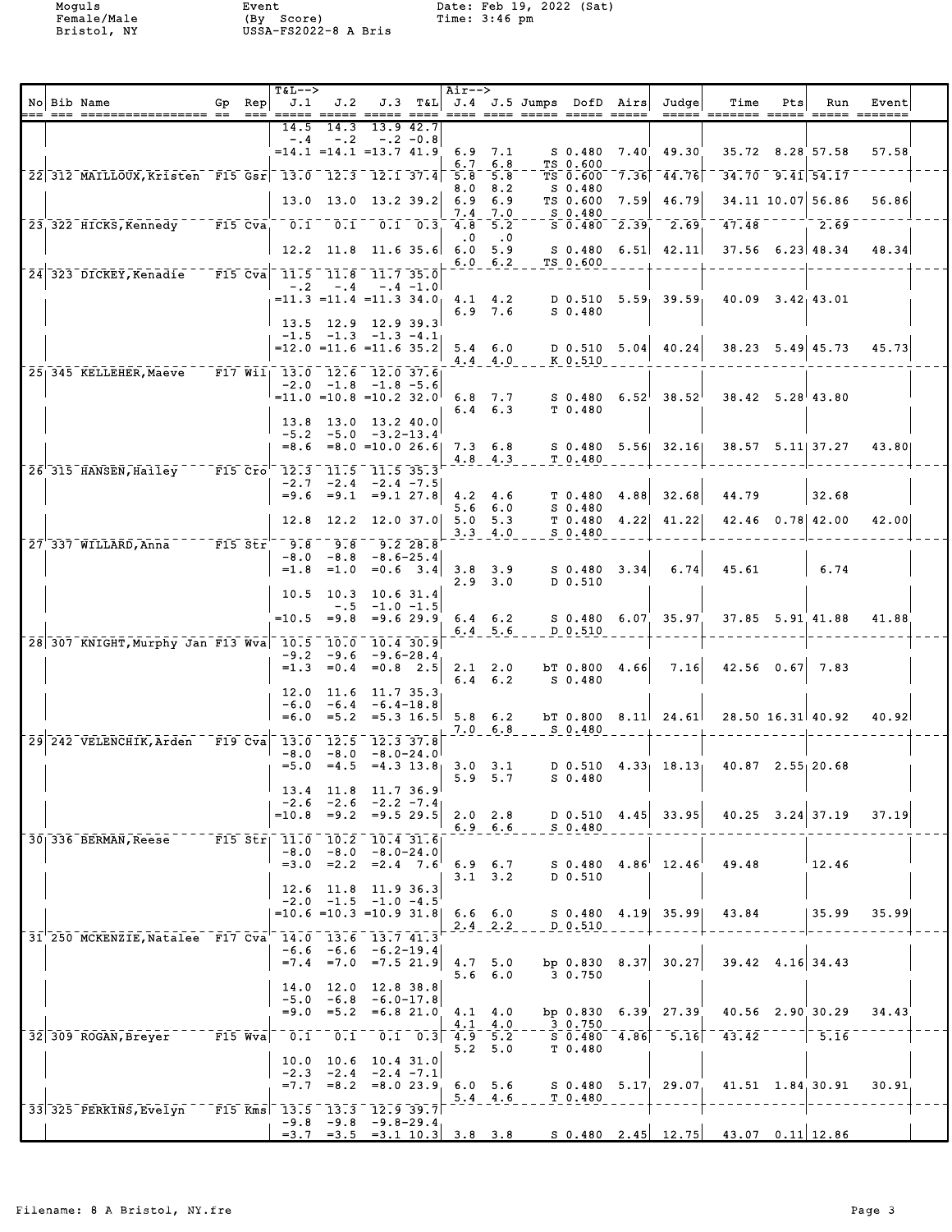|  | No Bib Name                                           | Gp Rep<br>$==$ | <b>T&amp;L--&gt;</b><br>J.1<br>=====                                                                                                                     | J.2                 |                                                                                    |               | Air-->    |                                    | J.3 T&L J.4 J.5 Jumps DofD Airs |                         |                | Judge                                                             | Time<br><u> ===== ======= =====</u>                                   | Pts | Run                           | Event<br>$\begin{array}{cccccc} \texttt{-----} & \texttt{-----} \end{array}$ |  |
|--|-------------------------------------------------------|----------------|----------------------------------------------------------------------------------------------------------------------------------------------------------|---------------------|------------------------------------------------------------------------------------|---------------|-----------|------------------------------------|---------------------------------|-------------------------|----------------|-------------------------------------------------------------------|-----------------------------------------------------------------------|-----|-------------------------------|------------------------------------------------------------------------------|--|
|  |                                                       |                | 14.5<br>$-0.4$                                                                                                                                           | 14.3<br>$-.2$       | $-.2 - 0.8$                                                                        | $13.9$ $42.7$ |           |                                    |                                 |                         |                |                                                                   |                                                                       |     |                               |                                                                              |  |
|  |                                                       |                |                                                                                                                                                          |                     | $= 14.1$ $= 14.1$ $= 13.7$ $41.9$                                                  |               |           | $6.9$ $7.1$<br>6.7 6.8             |                                 | TS 0.600                |                | S 0.480 7.40 49.30                                                |                                                                       |     | 35.72 8.28 57.58              | 57.58                                                                        |  |
|  | 22 312 MAILLOUX, Kristen F15 Gsr 13.0 12.3 12.1 37.4  |                |                                                                                                                                                          |                     |                                                                                    |               |           | $5.8\quad 5.8$                     |                                 | TS 0.600                |                | $7.36$ 44.76                                                      |                                                                       |     | $\overline{34.70}$ 9.41 54.17 |                                                                              |  |
|  |                                                       |                |                                                                                                                                                          |                     | $13.0$ $13.0$ $13.2$ $39.2$ 6.9                                                    |               | 8.0       | 8.2<br>6.9                         |                                 | S 0.480<br>TS 0.600     |                | 7.59 46.79                                                        |                                                                       |     | 34.11 10.07 56.86             | 56.86                                                                        |  |
|  | 23 322 HICKS, Kennedy                                 |                | $F15$ Cva, $0.1 - 0.1 - 0.1 - 0.3$                                                                                                                       |                     |                                                                                    |               | 7.4       | 7.0<br>$4.8$ 5.2                   |                                 | $ S_0$ . 480            | $S$ 0.480 2.39 | 2.69                                                              | 47.48                                                                 |     | 2.69                          |                                                                              |  |
|  |                                                       |                |                                                                                                                                                          |                     | $12.2$ 11.8 11.6 35.6 6.0 5.9                                                      |               | $\cdot$ 0 | $\ddot{\phantom{0}}$ .0            |                                 | S 0.480                 |                | $6.51 \quad 42.11$                                                |                                                                       |     | $37.56$ 6.23 48.34            | 48.34                                                                        |  |
|  | 24 323 DICKEY, Kenadie                                |                | $\lceil \bar{\mathtt{F}} \rceil$ 5 $\bar{\mathtt{C}}$ va $\lceil \; \rceil$ 11.5 $\lceil \; \rceil$ 11.6 $\lceil \; \rceil$ 11.7 $\lceil \; \rceil$ 35.0 |                     |                                                                                    |               |           | $6.0 \t6.2$                        |                                 | TS 0.600                |                |                                                                   |                                                                       |     |                               |                                                                              |  |
|  |                                                       |                |                                                                                                                                                          |                     | $-.2 - .4 - .4 - 1.0$                                                              |               |           |                                    |                                 |                         |                | $=11.3$ $=11.4$ $=11.3$ $34.0$ $4.1$ $4.2$ D 0.510 $5.59$ $39.59$ | $40.09$ $3.42$ $43.01$                                                |     |                               |                                                                              |  |
|  |                                                       |                |                                                                                                                                                          |                     | 13.5 12.9 12.9 39.3                                                                |               |           | $6.9$ $7.6$                        |                                 | S 0.480                 |                |                                                                   |                                                                       |     |                               |                                                                              |  |
|  |                                                       |                |                                                                                                                                                          |                     | $-1.5$ $-1.3$ $-1.3$ $-4.1$<br>$=12.0$ $=11.6$ $=11.6$ 35.2                        |               |           | $5.4\quad 6.0$                     |                                 |                         |                | $D$ 0.510 5.04 40.24                                              |                                                                       |     | $38.23$ $5.49$ $45.73$        | 45.73                                                                        |  |
|  | 25 345 KELLEHER, Maeve                                |                | F17 Wil 13.0 12.6 12.0 37.6                                                                                                                              |                     |                                                                                    |               |           |                                    | 4.4 4.0 K 0.510                 |                         |                |                                                                   |                                                                       |     |                               |                                                                              |  |
|  |                                                       |                |                                                                                                                                                          |                     | $-2.0$ $-1.8$ $-1.8$ $-5.6$<br>$=11.0$ $=10.8$ $=10.2$ $32.0$                      |               |           | $6.8$ 7.7                          |                                 |                         |                | $S$ 0.480 6.52 38.52                                              |                                                                       |     | $38.42$ $5.28$ $43.80$        |                                                                              |  |
|  |                                                       |                |                                                                                                                                                          |                     | 13.8 13.0 13.2 40.0                                                                |               |           | $6.4 \quad 6.3$                    |                                 | T <sub>0.480</sub>      |                |                                                                   |                                                                       |     |                               |                                                                              |  |
|  |                                                       |                |                                                                                                                                                          |                     | $-5.2 -5.0 -3.2 -13.4$<br>$=8.6 = 8.0 = 10.0 26.6$ 7.3 6.8                         |               |           |                                    |                                 |                         |                | S 0.480 5.56 32.16                                                |                                                                       |     | 38.57 5.11 37.27              | 43.80                                                                        |  |
|  | 26 315 HANSEN, Hailey F15 Cro 12.3 11.5 11.5 35.3     |                |                                                                                                                                                          |                     |                                                                                    |               |           |                                    | $4.8$ $4.3$ $T0.480$            |                         |                |                                                                   |                                                                       |     |                               |                                                                              |  |
|  |                                                       |                |                                                                                                                                                          |                     | $-2.7 -2.4 -2.4 -7.5$<br>$=9.6 = 9.1 = 9.1 27.8$                                   |               |           | $4.2 \quad 4.6$                    |                                 | T <sub>0.480</sub>      |                | $4.88$ 32.68                                                      | 44.79                                                                 |     | 32.68                         |                                                                              |  |
|  |                                                       |                | 12.8                                                                                                                                                     |                     | $12.2$ 12.0 37.0 5.0 5.3                                                           |               |           | $5.6\quad 6.0$                     |                                 | $S_0.480$               |                | $T$ 0.480 4.22 41.22                                              |                                                                       |     | $42.46$ 0.78 $42.00$          | 42.00                                                                        |  |
|  | 27 337 WILLARD, Anna                                  |                | F15 Str 9.8 9.8                                                                                                                                          |                     | $9.2$ 28.8                                                                         |               |           | $3.3 \quad 4.0$                    |                                 | $S_0.480$               |                |                                                                   |                                                                       |     |                               |                                                                              |  |
|  |                                                       |                |                                                                                                                                                          | $=1.8$ $=1.0$       | $-8.0 -8.8 -8.6 - 25.4$<br>$=0.6$ 3.4                                              |               |           | $3.8$ $3.9$                        |                                 |                         | $S$ 0.480 3.34 | 6.74                                                              | 45.61                                                                 |     | 6.74                          |                                                                              |  |
|  |                                                       |                |                                                                                                                                                          |                     | $10.5$ 10.3 10.6 31.4                                                              |               |           | $2.9$ $3.0$                        |                                 | D 0.510                 |                |                                                                   |                                                                       |     |                               |                                                                              |  |
|  |                                                       |                |                                                                                                                                                          |                     | $-.5 -1.0 -1.5$<br>$=10.5$ $=9.8$ $=9.6$ 29.9 6.4 6.2                              |               |           |                                    |                                 |                         |                | $S$ 0.480 6.07 35.97                                              |                                                                       |     | 37.85 5.91 41.88              | 41.88                                                                        |  |
|  |                                                       |                |                                                                                                                                                          |                     |                                                                                    |               |           | 6.4 5.6                            |                                 | D 0.510                 |                |                                                                   |                                                                       |     |                               |                                                                              |  |
|  | 28 307 KNIGHT, Murphy Jan F13 Wva 10.5 10.0 10.4 30.9 |                |                                                                                                                                                          |                     | $-9.2 -9.6 -9.6 -28.4$                                                             |               |           |                                    |                                 |                         |                |                                                                   |                                                                       |     | $42.56$ 0.67 7.83             |                                                                              |  |
|  |                                                       |                |                                                                                                                                                          |                     | $=1.3$ $=0.4$ $=0.8$ 2.5                                                           |               |           | 2.1 2.0<br>$6.4 \quad 6.2$         |                                 | S 0.480                 |                | $bT$ 0.800 4.66 7.16                                              |                                                                       |     |                               |                                                                              |  |
|  |                                                       |                |                                                                                                                                                          | $12.0$ $11.6$       | 11.7 35.3<br>$-6.0 -6.4 -6.4 -18.8$                                                |               |           |                                    |                                 |                         |                |                                                                   |                                                                       |     |                               |                                                                              |  |
|  |                                                       |                |                                                                                                                                                          |                     | $=6.0$ $=5.2$ $=5.3$ 16.5 5.8 6.2                                                  |               |           | $7.0\quad 6.8$                     |                                 | S 0.480                 |                |                                                                   | bT 0.800 8.11 24.61 28.50 16.31 40.92                                 |     |                               | 40.92                                                                        |  |
|  | 29 242 VELENCHIK, Arden F19 Cva 13.0 12.5 12.3 37.8   |                |                                                                                                                                                          |                     | $-8.0 - 8.0 - 8.0 - 24.0$                                                          |               |           |                                    |                                 |                         |                |                                                                   |                                                                       |     |                               |                                                                              |  |
|  |                                                       |                |                                                                                                                                                          |                     | $=5.0$ $=4.5$ $=4.3$ $13.8$ 3.0 3.1                                                |               |           | 5.9, 5.7                           |                                 | $S_0.480$               |                |                                                                   | D 0.510 $4.33$ $18.13$ $40.87$ $2.55$ $20.68$                         |     |                               |                                                                              |  |
|  |                                                       |                |                                                                                                                                                          |                     | $13.4$ 11.8 11.7 36.9<br>$-2.6$ $-2.6$ $-2.2$ $-7.4$                               |               |           |                                    |                                 |                         |                |                                                                   |                                                                       |     |                               |                                                                              |  |
|  |                                                       |                |                                                                                                                                                          |                     | $=10.8$ $=9.2$ $=9.5$ 29.5                                                         |               |           | $2.0\quad 2.8$                     | 6.9 6.6 S 0.480                 |                         |                | $D$ 0.510 4.45 33.95                                              |                                                                       |     | $40.25$ $3.24$ 37.19          | 37.19                                                                        |  |
|  | 30 336 BERMAN, Reese                                  |                | F15 Str  11.0 10.2 10.4 31.6                                                                                                                             |                     | $-8.0 - 8.0 - 8.0 - 24.0$                                                          |               |           |                                    |                                 |                         |                |                                                                   |                                                                       |     |                               |                                                                              |  |
|  |                                                       |                |                                                                                                                                                          |                     | $=3.0$ $=2.2$ $=2.4$ $7.6$                                                         |               |           | $6.9$ $6.7$<br>$3.1 \quad 3.2$     |                                 | $D$ 0.510               |                | $S$ 0.480 4.86 12.46                                              | 49.48                                                                 |     | 12.46                         |                                                                              |  |
|  |                                                       |                |                                                                                                                                                          |                     | $12.6$ $11.8$ $11.9$ $36.3$<br>$-2.0$ $-1.5$ $-1.0$ $-4.5$                         |               |           |                                    |                                 |                         |                |                                                                   |                                                                       |     |                               |                                                                              |  |
|  |                                                       |                |                                                                                                                                                          |                     | $=10.6$ $=10.3$ $=10.9$ 31.8                                                       |               |           | 6.6 6.0<br>$2.4$ 2.2               |                                 | D 0.510                 |                | $S$ 0.480 4.19 35.99                                              | 43.84                                                                 |     | 35.99                         | 35.99                                                                        |  |
|  | 31 250 MCKENZIE, Natalee F17 Cva 14.0 13.6 13.7 41.3  |                |                                                                                                                                                          |                     | $-6.6$ $-6.6$ $-6.2-19.4$                                                          |               |           |                                    |                                 |                         |                |                                                                   |                                                                       |     |                               |                                                                              |  |
|  |                                                       |                |                                                                                                                                                          |                     | $=7.4$ $=7.0$ $=7.5$ 21.9                                                          |               |           | 4.7 5.0<br>$5.6\quad 6.0$          |                                 | bp 0.830<br>3 0.750     |                | $8.37$ 30.27                                                      |                                                                       |     | $39.42$ 4.16 34.43            |                                                                              |  |
|  |                                                       |                | 14.0                                                                                                                                                     | 12.0<br>$-5.0 -6.8$ | 12.8 38.8<br>$-6.0 - 17.8$                                                         |               |           |                                    |                                 |                         |                |                                                                   |                                                                       |     |                               |                                                                              |  |
|  |                                                       |                |                                                                                                                                                          | $= 9.0 = 5.2$       | $=6.821.0$                                                                         |               |           | $4.1 \quad 4.0$<br>$4.1 \quad 4.0$ |                                 | bp $0.830$<br>$-30.750$ |                | $6.39$ 27.39                                                      |                                                                       |     | 40.56 2.90 30.29              | 34.43                                                                        |  |
|  | 32 309 ROGAN, Breyer                                  | F15 Wva        | 0.1                                                                                                                                                      | 0.1                 | $0.1 \quad 0.3$ 4.9 5.2                                                            |               |           | 5.2 5.0                            |                                 | T 0.480                 |                | $S$ 0.480 4.86 5.16                                               | 43.42                                                                 |     | $\vert 5.16$                  |                                                                              |  |
|  |                                                       |                | 10.0                                                                                                                                                     | $-2.3 -2.4$         | $10.6$ 10.4 31.0<br>$-2.4 -7.1$                                                    |               |           |                                    |                                 |                         |                |                                                                   |                                                                       |     |                               |                                                                              |  |
|  |                                                       |                |                                                                                                                                                          | $=7.7 = 8.2$        |                                                                                    | $= 8.0 23.9$  |           | $6.0\quad 5.6$<br>$5.4 \quad 4.6$  |                                 | T 0.480                 |                | S 0.480 5.17 29.07                                                |                                                                       |     | 41.51 1.84.30.91              | 30.91                                                                        |  |
|  | 33 325 PERKINS, Evelyn                                |                | F15 Kms 13.5                                                                                                                                             |                     | $\begin{bmatrix} 13.3 & 12.9 & 39.7 \end{bmatrix}$<br>$-9.8$ $-9.8$ $-9.8$ $-29.4$ |               |           |                                    |                                 |                         |                |                                                                   |                                                                       |     |                               |                                                                              |  |
|  |                                                       |                |                                                                                                                                                          |                     |                                                                                    |               |           |                                    |                                 |                         |                |                                                                   | $=3.7$ $=3.5$ $=3.1$ 10.3 3.8 3.8 S 0.480 2.45 12.75 43.07 0.11 12.86 |     |                               |                                                                              |  |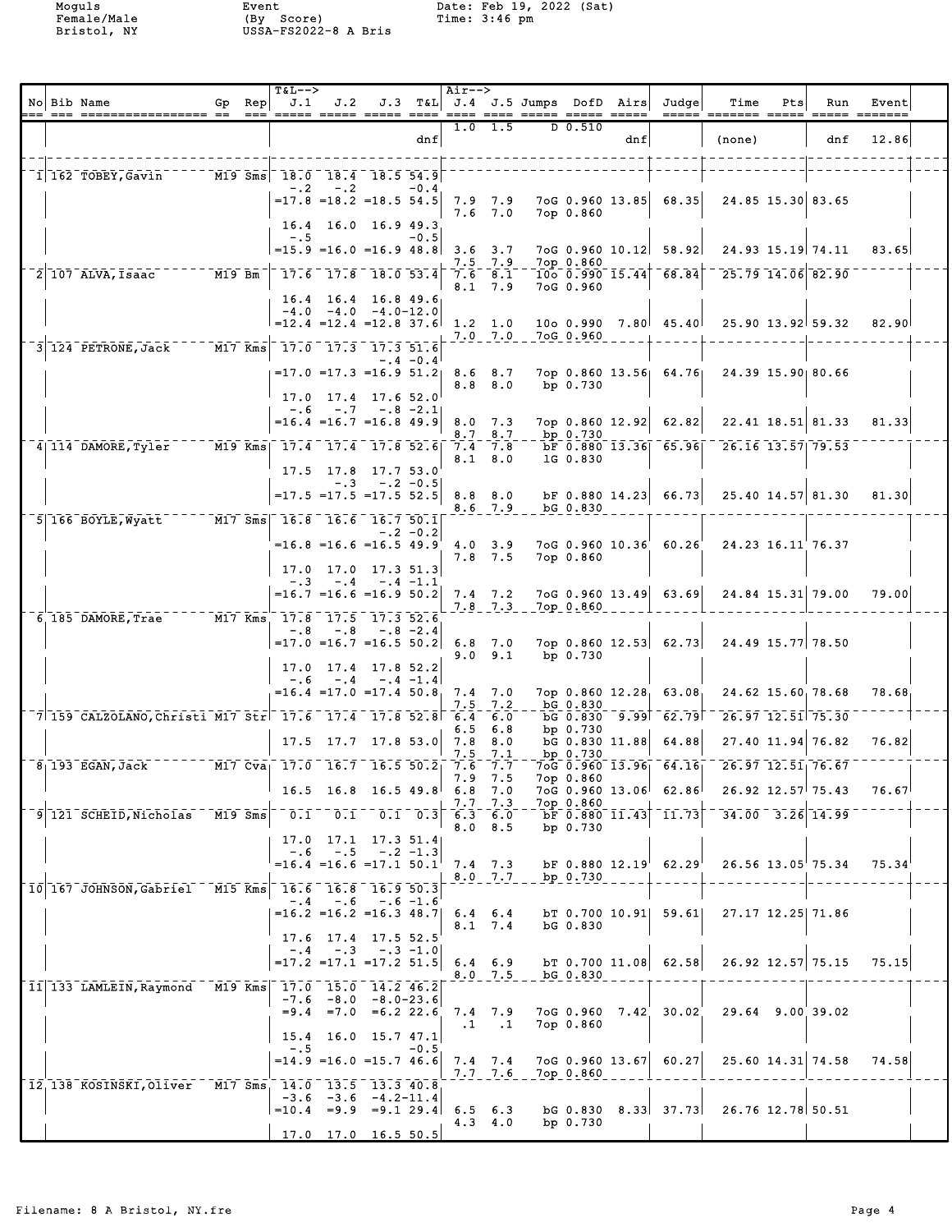|  | No Bib Name                                                                                                                                                                                                                                                                                                                                             | $Gp$ Rep<br>$=$ $=$ $=$ $\frac{1}{2}$ | <b>T&amp;L--&gt;</b>                                                         | $J.1$ $J.2$                   |                                                                                     |                 | Air-->                            |                                         | J.3 T&L J.4 J.5 Jumps DofD Airs |     | Judge                                                | Time<br><u>----- ------- ----- ----- ------</u>                   | Pts | Run                                      | Event              |  |
|--|---------------------------------------------------------------------------------------------------------------------------------------------------------------------------------------------------------------------------------------------------------------------------------------------------------------------------------------------------------|---------------------------------------|------------------------------------------------------------------------------|-------------------------------|-------------------------------------------------------------------------------------|-----------------|-----------------------------------|-----------------------------------------|---------------------------------|-----|------------------------------------------------------|-------------------------------------------------------------------|-----|------------------------------------------|--------------------|--|
|  |                                                                                                                                                                                                                                                                                                                                                         |                                       |                                                                              |                               |                                                                                     | dnf             |                                   | $1.0$ 1.5                               | $D$ 0.510                       | dnf |                                                      | (none)                                                            |     | dnf                                      | 12.86              |  |
|  | $\frac{1}{1}$ 162 TOBEY, Gavin $\frac{1}{1}$ $\frac{1}{1}$ $\frac{1}{1}$ $\frac{1}{1}$ $\frac{1}{1}$ $\frac{1}{1}$ $\frac{1}{1}$ $\frac{1}{1}$ $\frac{1}{1}$ $\frac{1}{1}$ $\frac{1}{1}$ $\frac{1}{1}$ $\frac{1}{1}$ $\frac{1}{1}$ $\frac{1}{1}$ $\frac{1}{1}$ $\frac{1}{1}$ $\frac{1}{1}$ $\frac{1}{1}$ $\frac{$                                       |                                       |                                                                              | $-.2 - .2$                    | $= 17.8$ $= 18.2$ $= 18.5$ 54.5<br>$16.4$ 16.0 16.9 49.3                            | $-0.4$          | 7.9 7.9                           | $7.6$ $7.0$                             | 7op 0.860                       |     | $7 \circ G$ 0.960 13.85 68.35                        | 24.85 15.30 83.65                                                 |     |                                          |                    |  |
|  |                                                                                                                                                                                                                                                                                                                                                         |                                       | $-1.5$                                                                       |                               | $=15.9$ = 16.0 = 16.9 48.8 3.6 3.7                                                  | $-0.5$          |                                   | 7.5 7.9                                 | 7op 0.860                       |     | 7oG 0.960 10.12 58.92                                |                                                                   |     | 24.93 15.19 74.11                        | 83.65              |  |
|  | $2$ 107 ALVA, Isaac $\overline{M19}$ Bm                                                                                                                                                                                                                                                                                                                 |                                       | $-$ 17.6 $-$ 17.8 $-$ 18.0 $-$ 53.4                                          |                               | $16.4$ 16.4 16.8 49.6                                                               |                 | $7.\overline{6}$ $\overline{8}.1$ | $8.1 \quad 7.9$                         | 7oG 0.960                       |     |                                                      | $725.79$ $14.06$ $82.90$                                          |     |                                          |                    |  |
|  | $3$ 124 PETRONE, Jack $17.0$ $17.0$ $17.3$ $17.3$ $51.6$                                                                                                                                                                                                                                                                                                |                                       |                                                                              |                               | $-4.0 - 4.0 - 4.0 - 12.0$<br>$=12.4$ $=12.4$ $=12.8$ 37.6 1.2 1.0                   |                 |                                   | $7.0$ $7.0$                             | 7oG 0.960                       |     |                                                      | 10o 0.990 7.80 45.40 25.90 13.92 59.32                            |     |                                          | 82.90              |  |
|  |                                                                                                                                                                                                                                                                                                                                                         |                                       |                                                                              |                               | $=17.0$ $=17.3$ $=16.9$ $51.2$ 8.6 8.7<br>17.0 17.4 17.6 52.0                       | $-.4 - 0.4$     |                                   | $8.8\quad 8.0$                          | bp $0.730$                      |     |                                                      | 7op 0.860 13.56 64.76 24.39 15.90 80.66                           |     |                                          |                    |  |
|  |                                                                                                                                                                                                                                                                                                                                                         |                                       |                                                                              |                               | $-.6 - .7 - .8 - 2.1$<br>$=16.4$ $=16.7$ $=16.8$ 49.9                               |                 |                                   | $8.0$ 7.3<br>8.7 8.7                    | bp 0.730                        |     | 7op 0.860 12.92 62.82                                | 22.41 18.51 81.33                                                 |     |                                          | 81.33              |  |
|  | $4$ 114 DAMORE, Tyler $17.4$ $17.4$ $17.4$ $17.8$ 52.6                                                                                                                                                                                                                                                                                                  |                                       |                                                                              |                               | $17.5$ $17.8$ $17.7$ $53.0$<br>$-.3 - .2 - 0.5$                                     |                 | 7.4 7.8                           | $8.1 \t 8.0$                            | 1G 0.830                        |     |                                                      | $\overline{b}$ $\overline{F}$ 0.880 13.36 65.96 26.16 13.57 79.53 |     |                                          |                    |  |
|  |                                                                                                                                                                                                                                                                                                                                                         |                                       |                                                                              |                               | $=17.5$ $=17.5$ $=17.5$ 52.5                                                        |                 | $8.8\quad 8.0$                    | $8.6$ 7.9                               | bG 0.830                        |     |                                                      | bF 0.880 14.23 66.73 25.40 14.57 81.30                            |     |                                          | 81.30              |  |
|  | 5 166 BOYLE, Wyatt                                                                                                                                                                                                                                                                                                                                      |                                       | $\boxed{\text{M17} \text{ Sms} \quad 16.8 \quad 16.6 \quad 16.7 \quad 50.1}$ |                               | $=16.8$ $=16.6$ $=16.5$ $49.9$ $4.0$ $3.9$<br>$17.0$ 17.0 17.3 51.3                 | $-.2 - 0.2$     |                                   | $7.8$ 7.5                               | 7op 0.860                       |     | 7oG 0.960 10.36 60.26                                | 24.23 16.11 76.37                                                 |     |                                          |                    |  |
|  | 6 185 DAMORE, Trae M17 Kms 17.8 17.5 17.3 52.6                                                                                                                                                                                                                                                                                                          |                                       |                                                                              |                               | $-.3 - .4 - .4 - 1.1$<br>$=16.7$ $=16.6$ $=16.9$ 50.2                               |                 |                                   | $7.4$ $7.2$<br>$7.8$ $7.3$              | 7ор 0.860                       |     | $7 \circ G$ 0.960 13.49 63.69                        |                                                                   |     | 24.84 15.31 79.00                        | 79.00              |  |
|  |                                                                                                                                                                                                                                                                                                                                                         |                                       |                                                                              |                               | $-.8$ $-.8$ $-.8$ $-2.4$<br>$=17.0$ =16.7 =16.5 50.2<br>$17.0$ $17.4$ $17.8$ $52.2$ |                 | $6.8$ 7.0                         | 9.0 9.1                                 | bp 0.730                        |     |                                                      | 7op 0.860 12.53 62.73 24.49 15.77 78.50                           |     |                                          |                    |  |
|  |                                                                                                                                                                                                                                                                                                                                                         |                                       |                                                                              |                               | $-.6 - .4 - .4 -1.4$<br>$=16.4$ $=17.0$ $=17.4$ $50.8$ 7.4 7.0                      |                 |                                   | $7.5$ $7.2$                             | bG 0.830                        |     |                                                      | 7op 0.860 12.28, 63.08, 24.62 15.60, 78.68                        |     |                                          | 78.68              |  |
|  | $\sqrt{7}$ 159 CALZOLANO, Christi M17 Str $^{-}$ 17.6 17.4 17.8 52.8 $\sqrt{6}$ 6.4 $\sqrt{6}$ .0                                                                                                                                                                                                                                                       |                                       |                                                                              |                               | $17.5$ 17.7 17.8 53.0 7.8 8.0                                                       |                 | 6.5                               | 6.8                                     | bp $0.730$                      |     | DG 0.830 9.99 62.79<br>$\text{bG}$ 0.830 11.88 64.88 |                                                                   |     | $26.97$ 12.51 75.30<br>27.40 11.94 76.82 | 76.82              |  |
|  | $\overline{8_1}$ 193 EGAN, Jack $\overline{101}$ $\overline{101}$ $\overline{01}$ $\overline{01}$ $\overline{101}$ $\overline{01}$ $\overline{101}$ $\overline{01}$ $\overline{101}$ $\overline{01}$ $\overline{101}$ $\overline{01}$ $\overline{101}$ $\overline{01}$ $\overline{101}$ $\overline{01}$ $\overline{101}$ $\overline{01}$ $\overline{01$ |                                       |                                                                              |                               | $16.5$ 16.8 16.5 49.8                                                               |                 |                                   | $7.5$ $7.1$<br>$7.9$ $7.5$<br>$6.8$ 7.0 | bp 0.730<br>7op 0.860           |     | 7oG 0.960 13.06 62.86                                | $70G$ 0.960 13.96 64.16 26.97 12.51 76.67                         |     | 26.92 12.57 75.43                        | 76.67 <sup>1</sup> |  |
|  | 9 121 SCHEID, Nicholas M19 Sms                                                                                                                                                                                                                                                                                                                          |                                       | $\overline{0.1}$                                                             | 0.1                           |                                                                                     | $0.1 \quad 0.3$ |                                   | 7.7 7.3<br>6.3 6.0<br>$8.0\quad 8.5$    | 7op 0.860<br>bp 0.730           |     | $bF$ 0.880 11.43 11.73                               |                                                                   |     | $34.00$ $3.26$ 14.99                     |                    |  |
|  |                                                                                                                                                                                                                                                                                                                                                         |                                       |                                                                              | $-.6 - .5$                    | 17.0 17.1 17.3 51.4<br>$-.2 - 1.3$<br>$=16.4$ $=16.6$ $=17.1$ 50.1                  |                 |                                   | $7.4$ $7.3$<br>$8.0$ 7.7                | bp 0.730                        |     | $DF$ 0.880 12.19 62.29                               | 26.56 13.05 75.34                                                 |     |                                          | 75.34              |  |
|  | 10 167 JOHNSON, Gabriel M15 Kms 16.6 16.8 16.9 50.3                                                                                                                                                                                                                                                                                                     |                                       |                                                                              |                               | $-.4 - .6 - .6 - 1.6$<br>$=16.2$ $=16.2$ $=16.3$ 48.7                               |                 |                                   | $6.4 \t6.4$<br>8.1 7.4                  | bG 0.830                        |     | $bT$ 0.700 10.91 59.61                               | 27.17 12.25 71.86                                                 |     |                                          |                    |  |
|  | 11 133 LAMLEIN, Raymond                                                                                                                                                                                                                                                                                                                                 |                                       | M19 Kms 17.0 15.0 14.2 46.2                                                  |                               | 17.6 17.4 17.5 52.5<br>$-4$ $-3$ $-3$ $-1.0$<br>$=17.2$ $=17.1$ $=17.2$ 51.5        |                 |                                   | $6.4 \quad 6.9$<br>$8.0$ 7.5            | bG 0.830                        |     | bT $0.700$ 11.08 62.58                               | 26.92 12.57 75.15                                                 |     |                                          | 75.15              |  |
|  |                                                                                                                                                                                                                                                                                                                                                         |                                       |                                                                              | $-7.6 - 8.0$<br>$= 9.4 = 7.0$ | -8.0-23.6<br>$=6.2$ 22.6<br>15.4 16.0 15.7 47.1                                     |                 |                                   | 7.4 7.9<br>$\cdot$ 1.1                  | 7op 0.860                       |     | 7oG 0.960 7.42 30.02                                 | 29.64 9.00 39.02                                                  |     |                                          |                    |  |
|  | 12, 138 KOSINSKI, Oliver M17 Sms, 14.0 13.5 13.3 40.8                                                                                                                                                                                                                                                                                                   |                                       | $-.5$                                                                        |                               | $=14.9$ $=16.0$ $=15.7$ 46.6                                                        | $-0.5$          |                                   | $7.4$ $7.4$<br>$7.7 - 7.6$              | 7op 0.860                       |     | 7oG 0.960 13.67 60.27                                |                                                                   |     | 25.60 14.31 74.58                        | 74.58              |  |
|  |                                                                                                                                                                                                                                                                                                                                                         |                                       |                                                                              |                               | $-3.6$ $-3.6$ $-4.2-11.4$<br>$=10.4$ $=9.9$ $=9.1$ 29.4<br>$17.0$ 17.0 16.5 50.5    |                 |                                   | $6.5 \t6.3$<br>$4.3 \t4.0$              | bG 0.830<br>bp 0.730            |     | $8.33$ $37.73$                                       | 26.76 12.78 50.51                                                 |     |                                          |                    |  |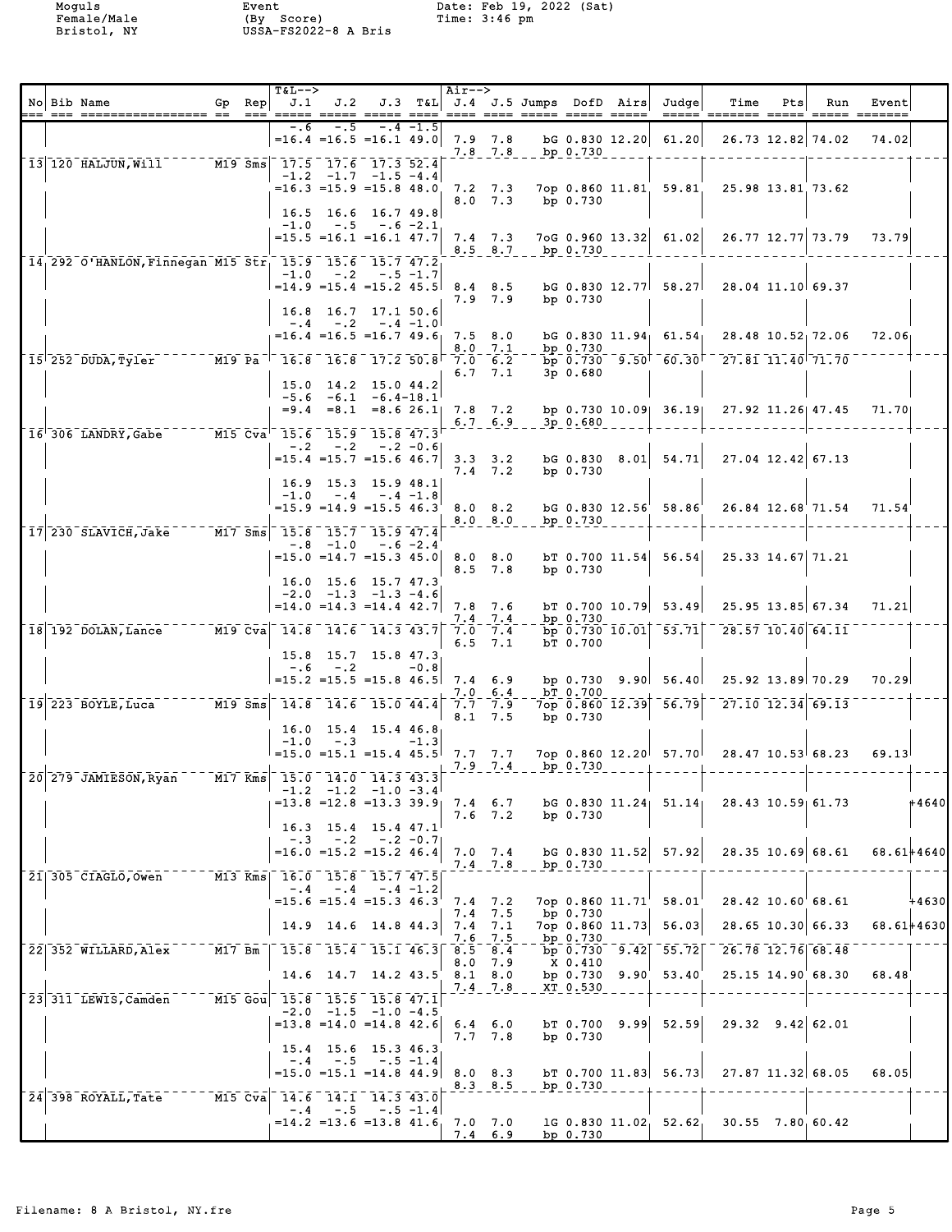|  | No Bib Name                                                                                                                                       |        | Gp Rep | <b>T&amp;L--&gt;</b><br>J.1 |             | $J.2$ $J.3$ T&L $J.4$ J.5 Jumps DofD Airs                                                                           |            | Air-->             |                                          |                  |                      | Judge                                                    | Time<br><u> ----- ------- ----- ----- ------</u>  | Pts | Run                            | Event      |         |
|--|---------------------------------------------------------------------------------------------------------------------------------------------------|--------|--------|-----------------------------|-------------|---------------------------------------------------------------------------------------------------------------------|------------|--------------------|------------------------------------------|------------------|----------------------|----------------------------------------------------------|---------------------------------------------------|-----|--------------------------------|------------|---------|
|  |                                                                                                                                                   |        |        | -.6                         |             | $=16.4$ $=16.5$ $=16.1$ 49.0 7.9 7.8                                                                                | $-4 - 1.5$ |                    | $7.8$ $7.8$                              | bp 0.730         |                      | $bG$ 0.830 12.20 61.20                                   |                                                   |     | 26.73 12.82 74.02              | 74.02      |         |
|  | 13 120 HALJUN, Will                                                                                                                               |        |        |                             |             | M19 Sms 17.5 17.6 17.3 52.4<br>$-1.2$ $-1.7$ $-1.5$ $-4.4$<br>$=16.3$ $=15.9$ $=15.8$ 48.0<br>$16.5$ 16.6 16.7 49.8 |            |                    | $7.2$ $7.3$<br>$8.0$ 7.3                 |                  | bp $0.730$           | 7op 0.860 11.81 59.81                                    |                                                   |     | 25.98 13.81 73.62              |            |         |
|  |                                                                                                                                                   |        |        | $-1.0$                      | $-1.5$      | $-.6 - 2.1$<br>$=15.5$ $=16.1$ $=16.1$ $47.7$                                                                       |            |                    | $7.4$ $7.3$                              | 8.5 8.7 bp 0.730 |                      | $7 \circ G$ 0.960 13.32 61.02                            |                                                   |     | 26.77 12.77 73.79              | 73.79      |         |
|  | 14, 292 O'HANLON, Finnegan M15 Str, 15.9 15.6 15.7 47.2                                                                                           |        |        |                             |             | $-1.0$ $-.2$ $-.5$ $-1.7$<br>$=14.9$ $=15.4$ $=15.2$ $45.5$<br>16.8 16.7 17.1 50.6                                  |            | $8.4$ $8.5$        | 7.9 7.9                                  |                  | bp 0.730             |                                                          | $DG$ 0.830 12.77 58.27 28.04 11.10 69.37          |     |                                |            |         |
|  |                                                                                                                                                   |        |        |                             |             | $-4$ $-2$ $-4$ $-1.0$<br>$=16.4$ $=16.5$ $=16.7$ 49.6                                                               |            | $7.5\quad 8.0$     | 8.0 7.1                                  |                  | bp $0.730$           |                                                          | bG 0.830 11.94 61.54 28.48 10.52 72.06            |     |                                | 72.06      |         |
|  | $15$ <sup>-252</sup> DUDA, Tyler $16.8$ -16.8 -17.2 50.8                                                                                          |        |        |                             |             | 15.0 14.2 15.0 44.2                                                                                                 |            |                    | $7.0\quad 6.2$<br>6.7, 7.1               |                  | $3p$ 0.680           |                                                          | $b_{p}$ 0.730 $9.50$ 60.30 $27.81$ 11.40 71.70    |     |                                |            |         |
|  | 16 306 LANDRY, Gabe M15 Cva 15.6 15.9 15.8 47.3                                                                                                   |        |        |                             |             | $-5.6 -6.1 -6.4-18.1$<br>$=9.4$ $=8.1$ $=8.6$ 26.1 7.8 7.2                                                          |            |                    | $6.7 \quad 6.9$                          |                  | 3p 0.680             |                                                          | bp 0.730 10.09 36.19 27.92 11.26 47.45            |     |                                | 71.70      |         |
|  |                                                                                                                                                   |        |        |                             | $-.2 - .2$  | $-.2 -0.6$<br>$=15.4$ $=15.7$ $=15.6$ 46.7<br>16.9 15.3 15.9 48.1                                                   |            |                    | $3.3 \quad 3.2$<br>$7.4$ $7.2$           |                  | bp 0.730             | $\texttt{bG}$ 0.830 8.01 54.71                           |                                                   |     | 27.04 12.42 67.13              |            |         |
|  | 17 230 SLAVICH, Jake M17 Sms 15.8 15.7 15.9 47.4                                                                                                  |        |        |                             |             | $-1.0 - .4 - .4 - 1.8$<br>$=15.9$ $=14.9$ $=15.5$ 46.3                                                              |            |                    | 8.0 8.2<br>$8.0 - 8.0$                   |                  | bp 0.730             | $bG$ 0.830 12.56 58.86                                   |                                                   |     | 26.84 12.68 71.54              | 71.54      |         |
|  |                                                                                                                                                   |        |        |                             |             | $-.8$ $-1.0$ $-.6$ $-2.4$<br>$=15.0$ $=14.7$ $=15.3$ $45.0$ 8.0 8.0                                                 |            |                    | $8.5$ 7.8                                |                  | bp $0.730$           | $bT$ 0.700 11.54 56.54                                   |                                                   |     | 25.33 14.67 71.21              |            |         |
|  | 18 192 DOLAN, Lance                                                                                                                               |        |        |                             |             | 16.0 15.6 15.7 47.3<br>$-2.0$ $-1.3$ $-1.3$ $-4.6$<br>$=14.0$ $=14.3$ $=14.4$ $42.7$<br>M19 Cva 14.8 14.6 14.3 43.7 |            | 7.8 7.6            | $7.4$ 7.4<br>$7.0$ $7.4$                 |                  | bp 0.730             | $\bar{b}p\bar{0}.730\bar{1}0.01$ $\bar{5}3.71$ $\bar{1}$ | b $\sqrt{0.700}$ 10.79 53.49 25.95 13.85 67.34    |     | $\overline{28.57}$ 10.40 64.11 | 71.21      |         |
|  |                                                                                                                                                   |        |        |                             | $-.6 - .2$  | 15.8 15.7 15.8 47.3<br>$=15.2$ =15.5 =15.8 46.5                                                                     | $-0.8$     | 6.5<br>$7.4 \t6.9$ | 7.1                                      |                  | bT 0.700             |                                                          | bp $0.730$ $9.90$ $56.40$ $25.92$ $13.89$ $70.29$ |     |                                | 70.29      |         |
|  | $19$ 223 BOYLE, Luca                                                                                                                              |        |        |                             |             | M19 Sms 14.8 14.6 15.0 44.4                                                                                         |            |                    | $7.0 \t6.4$<br>7.7, 7.9<br>8.1, 7.5      |                  | bT 0.700<br>bp 0.730 | $7$ op 0.860 12.39 56.79                                 | $\overline{27.10}$ $\overline{12.34}$ 69.13       |     |                                |            |         |
|  |                                                                                                                                                   |        |        |                             | $-1.0 - .3$ | 16.0 15.4 15.4 46.8<br>$=15.0$ = 15.1 = 15.4 45.5 7.7 7.7                                                           | $-1.3$     |                    | $7.9 - 7.4$                              |                  | bp 0.730             |                                                          | 7op 0.860 12.20 57.70 28.47 10.53 68.23           |     |                                | 69.13      |         |
|  | $\sqrt{20}$ $\sqrt{279}$ JAMIESON, Ryan $\sqrt{30}$ $\sqrt{17}$ kms $\sqrt{315}$ $\sqrt{15}$ $\sqrt{0}$ $\sqrt{14.0}$ $\sqrt{14.3}$ $\sqrt{43.3}$ |        |        |                             |             | $-1.2$ $-1.2$ $-1.0$ $-3.4$<br>$=13.8$ $=12.8$ $=13.3$ 39.9                                                         |            |                    | $7.4 \t6.7$<br>$7.6$ $7.2$               |                  | bp 0.730             |                                                          | bg 0.830 11.24 51.14 28.43 10.59 61.73            |     |                                |            | $+4640$ |
|  |                                                                                                                                                   |        |        |                             |             | 16.3 15.4 15.4 47.1<br>$-.3 - .2 - .2 - 0.7$<br>$=16.0$ $=15.2$ $=15.2$ 46.4                                        |            |                    | $7.0$ $7.4$<br>$7.4$ $7.8$               |                  | bp 0.730             | $\text{bG}$ 0.830 11.52 57.92                            |                                                   |     | 28.35 10.69 68.61              | 68.61+4640 |         |
|  | 21 305 CIAGLO, Owen                                                                                                                               |        |        |                             |             | M13 Kms  16.0 15.8 15.7 47.5 <br>$-.4-.4-.4-.4-.2$<br>$= 15.6 = 15.4 = 15.3 46.3$                                   |            |                    | $7.4$ $7.2$<br>$7.4$ 7.5                 |                  | bp $0.730$           | 7op 0.860 11.71 58.01                                    |                                                   |     | 28.42 10.60 68.61              |            | $+4630$ |
|  | 22 352 WILLARD, Alex                                                                                                                              | M17 Bm |        |                             |             | 14.9 14.6 14.8 44.3<br>$15.8$ 15.4 15.1 46.3                                                                        |            | $8.5$ $8.4$        | $7.4$ $7.1$<br>7.6 7.5                   |                  | bp 0.730             | 7op 0.860 11.73 56.03                                    | bp $0.730$ $9.42$ $55.72$ $26.78$ $12.76$ 68.48   |     | 28.65 10.30 66.33              | 68.61+4630 |         |
|  |                                                                                                                                                   |        |        |                             |             | 14.6 14.7 14.2 43.5                                                                                                 |            |                    | $8.0$ 7.9<br>$8.1 \t 8.0$<br>$7.4$ $7.8$ |                  | X 0.410<br>XT 0.530  | bp $0.730$ $9.90$ $53.40$                                |                                                   |     | 25.15 14.90 68.30              | 68.48      |         |
|  | 23 311 LEWIS, Camden                                                                                                                              |        |        |                             |             | M15 Gou 15.8 15.5 15.8 47.1<br>$-2.0$ $-1.5$ $-1.0$ $-4.5$<br>$=13.8$ $=14.0$ $=14.8$ $42.6$                        |            |                    | $6.4\quad 6.0$<br>7.7, 7.8               |                  | bp 0.730             |                                                          | b $\sqrt{0.700}$ 9.99 52.59 29.32 9.42 62.01      |     |                                |            |         |
|  |                                                                                                                                                   |        |        |                             |             | 15.4 15.6 15.3 46.3<br>$-.4 - .5 - .5 - 1.4$<br>$= 15.0$ $= 15.1$ $= 14.8$ $44.9$ 8.0 8.3                           |            |                    | $8.3$ $8.5$                              |                  | bp 0.730             |                                                          | bT $0.700$ 11.83 $56.73$ 27.87 11.32 68.05        |     |                                | 68.05      |         |
|  | 24 398 ROYALL, Tate                                                                                                                               |        |        |                             | $-.4-.5$    | M15 Cva 14.6 14.1 14.3 43.0<br>$-.5 - 1.4$<br>$=14.2$ = 13.6 = 13.8 41.6                                            |            |                    | $7.0$ $7.0$<br>$7.4 \t6.9$               |                  | bp 0.730             |                                                          | 1G 0.830 11.02, 52.62, 30.55 7.80, 60.42          |     |                                |            |         |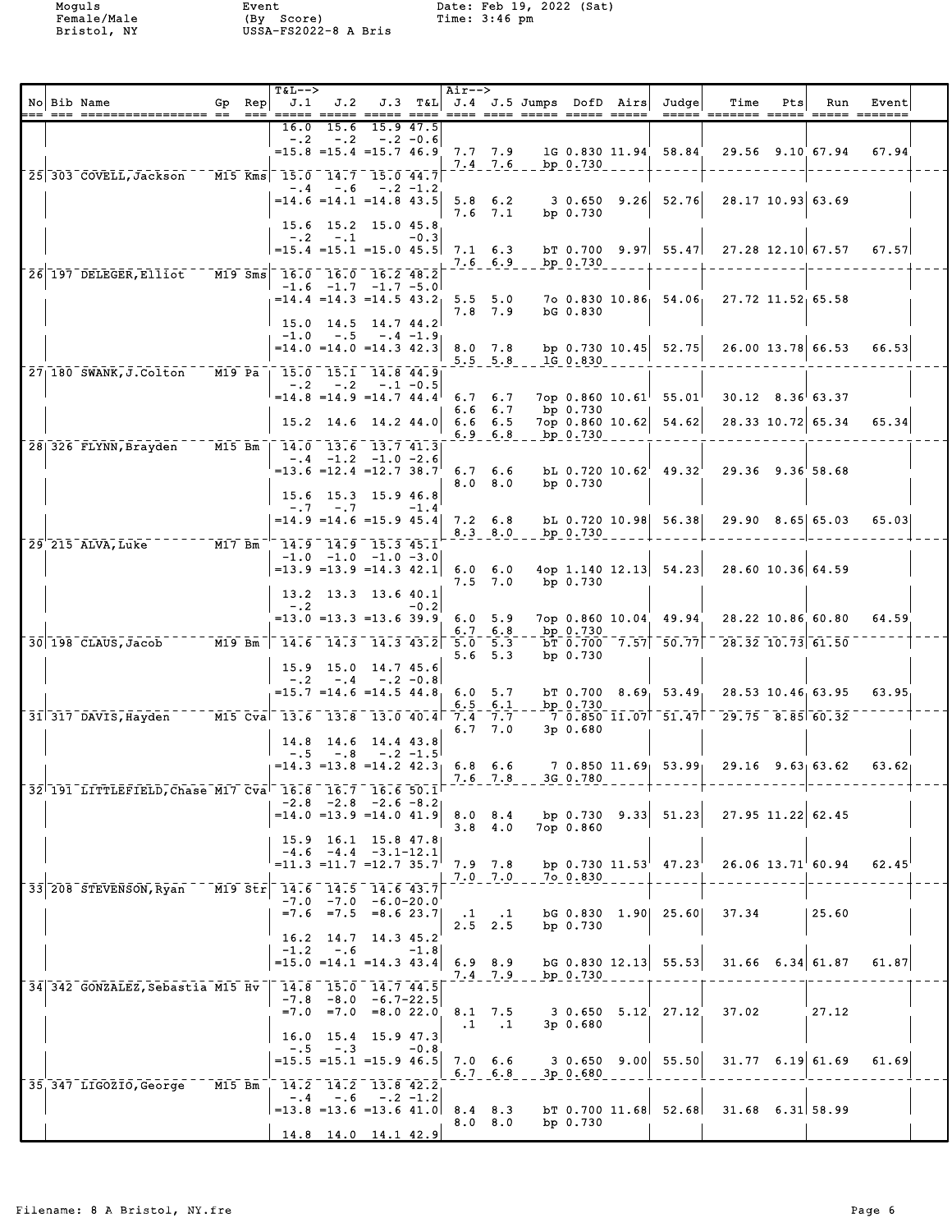|  | No Bib Name<br>.-- --- ----------------- -- -                                           | Gp Rep<br>$== =$ | <b>T&amp;L--&gt;</b><br>J.1 |               |                                                                                               |           | Air-->         |                                           | J.2 J.3 T&L J.4 J.5 Jumps DofD Airs |                      | Judge<br>$=$ $=$ $=$ $=$ $=$ $\overline{ }$ | Time<br>======= =====                                               | Pts | Run                | Event<br>===== ======= |  |
|--|-----------------------------------------------------------------------------------------|------------------|-----------------------------|---------------|-----------------------------------------------------------------------------------------------|-----------|----------------|-------------------------------------------|-------------------------------------|----------------------|---------------------------------------------|---------------------------------------------------------------------|-----|--------------------|------------------------|--|
|  |                                                                                         |                  | 16.0<br>$-.2$               | 15.6<br>$-.2$ | $-.2 -0.6$<br>$=15.8$ $=15.4$ $=15.7$ $46.9$ 7.7 7.9                                          | 15.9 47.5 |                |                                           | $7.4$ $7.6$ bp $0.730$              |                      | 1G 0.830 11.94 58.84                        |                                                                     |     | 29.56 9.10 67.94   | 67.94                  |  |
|  | 25 303 COVELL, Jackson - - M15 Kms 15.0 14.7 15.0 44.7                                  |                  |                             | $-.4 - .6$    | $-.2 - 1.2$<br>$= 14.6$ $= 14.1$ $= 14.8$ 43.5                                                |           |                | $5.8 \t6.2$<br>$7.6$ $7.1$                |                                     | bp $0.730$           | $3\,0.650\,9.26\,52.76$                     | 28.17 10.93 63.69                                                   |     |                    |                        |  |
|  |                                                                                         |                  |                             | $-.2 - .1$    | 15.6 15.2 15.0 45.8<br>$=15.4$ $=15.1$ $=15.0$ $45.5$ 7.1 6.3                                 | $-0.3$    |                | $7.6\quad 6.9$                            |                                     | bp $0.730$           |                                             | b T $0.700$ $9.97$ $55.47$ $27.28$ $12.10$ 67.57                    |     |                    | 67.57                  |  |
|  | 26 197 DELEGER, Elliot M19 Sms 16.0 16.0 16.2 48.2                                      |                  |                             |               | $-1.6$ $-1.7$ $-1.7$ $-5.0$<br>$= 14.4$ $= 14.3$ $= 14.5$ $43.2$ 5.5 5.0                      |           |                | $7.8$ 7.9                                 |                                     | bG 0.830             |                                             | 7o 0.830 10.86 $54.06$ 27.72 11.52 65.58                            |     |                    |                        |  |
|  |                                                                                         |                  | $-1.0$                      | $-5$          | 15.0 14.5 14.7 44.2<br>$-.4 -1.9$<br>$= 14.0$ $= 14.0$ $= 14.3$ $42.3$                        |           | 8.0 7.8        | $5.5 \t5.8$                               |                                     | 1G 0.830             |                                             | bp $0.730$ 10.45 $52.75$ 26.00 13.78 66.53                          |     |                    | 66.53                  |  |
|  | 27 180 SWANK, J. Colton M19 Pa   15.0 15.1 14.8 44.9                                    |                  |                             |               | $-.2$ $-.2$ $-.1$ $-0.5$<br>$=14.8$ $=14.9$ $=14.7$ $44.4$                                    |           |                | $6.7 \quad 6.7$<br>$6.6\quad 6.7$         |                                     | bp $0.730$           |                                             | 7op 0.860 $10.61^{\dagger}$ 55.01 30.12 8.36 63.37                  |     |                    |                        |  |
|  | 28 326 FLYNN, Brayden M15 Bm   14.0 13.6 13.7 41.3                                      |                  |                             |               | $15.2$ 14.6 14.2 44.0<br>$-.4$ $-1.2$ $-1.0$ $-2.6$                                           |           |                | $6.6$ $6.5$<br>$6.9$ $6.8$                |                                     | bp 0.730             |                                             | 7op 0.860 10.62 54.62 28.33 10.72 65.34                             |     |                    | 65.34                  |  |
|  |                                                                                         |                  | $-0.7$                      | $-0.7$        | $=13.6$ $=12.4$ $=12.7$ $38.7$<br>15.6 15.3 15.9 46.8                                         | $-1.4$    |                | 6.76.6<br>8.0 8.0                         |                                     | bp $0.730$           | $bL$ 0.720 10.62 49.32                      | 29.36 9.36 58.68                                                    |     |                    |                        |  |
|  | 29 215 ALVA, Luke M17 Bm                                                                |                  |                             |               | $= 14.9$ $= 14.6$ $= 15.9$ 45.4<br>$14.9$ $14.9$ $15.3$ $45.1$<br>$-1.0$ $-1.0$ $-1.0$ $-3.0$ |           | $7.2\quad 6.8$ | $8.3\quad 8.0$                            |                                     | bp 0.730             |                                             | bL $0.720$ 10.98 56.38 29.90 8.65 65.03                             |     |                    | 65.03                  |  |
|  |                                                                                         |                  | $-1.2$                      |               | $=13.9$ =13.9 =14.3 42.1<br>13.2 13.3 13.6 40.1                                               | $-0.2$    |                | $6.0\quad 6.0$<br>$7.5$ $7.0$             |                                     | bp $0.730$           |                                             | $4$ op 1.140 12.13 54.23 28.60 10.36 64.59                          |     |                    |                        |  |
|  | 30 198 CLAUS, Jacob M19 Bm                                                              |                  |                             |               | $=13.0$ $=13.3$ $=13.6$ 39.9<br>$-14.6 - 14.3 - 14.3 - 43.2 - 5.0 - 5.3$                      |           |                | 6.0 5.9<br>$6.7 \t6.8$<br>$5.6 \quad 5.3$ |                                     | bp 0.730<br>bp 0.730 | 7op 0.860 10.04 49.94                       | 28.22 10.86 60.80<br>b $\boxed{0.700}$ 7.57 50.77 28.32 10.73 61.50 |     |                    | 64.59                  |  |
|  |                                                                                         |                  | $-1.2$                      | $-.4$         | 15.9 15.0 14.7 45.6<br>$-.2 -0.8$<br>$=15.7$ $=14.6$ $=14.5$ $44.8$ , 6.0 5.7                 |           |                | $6.5 \t6.1$                               |                                     | bp 0.730             |                                             | bT $0.700$ $8.69$ $53.49$ $28.53$ $10.46$ $63.95$                   |     |                    | 63.95                  |  |
|  | $31\overline{)317}$ DAVIS, Havden - - - - MI5 Cva - 13.6 - 13.8 - 13.0 40.4 - 7.4 - 7.7 |                  |                             |               | 14.8 14.6 14.4 43.8<br>$-.5 - .8 - .2 - 1.5$                                                  |           |                | 6.7, 7.0                                  |                                     | $3p$ 0.680           |                                             | $7\overline{0.850}$ 11.07 51.47 $29.75$ 8.85 60.32                  |     |                    |                        |  |
|  | $32^{1}$ 191 LITTLEFIELD, Chase M17 Cva <sup>1</sup> 16.8 16.7 16.6 50.1 <sup>1</sup>   |                  |                             |               | $= 14.3$ $= 13.8$ $= 14.2$ $42.3$ 6.8 6.6<br>$-2.8$ $-2.8$ $-2.6$ $-8.2$                      |           | 7.6 7.8        |                                           |                                     | 3G 0.780             |                                             | $70.85011.69$ $53.99$ $29.16$ $9.63$ 63.62                          |     |                    | 63.62                  |  |
|  |                                                                                         |                  |                             |               | $=14.0$ $=13.9$ $=14.0$ $41.9$<br>15.9 16.1 15.8 47.8<br>$-4.6$ $-4.4$ $-3.1-12.1$            |           |                | 8.0 8.4<br>3.8, 4.0                       |                                     | 7op 0.860            | bp $0.730$ $9.33$ $51.23$                   | 27.95 11.22 62.45                                                   |     |                    |                        |  |
|  | 33 208 STEVENSON, Ryan                                                                  | M19 Str          |                             |               | $=11.3$ $=11.7$ $=12.7$ $35.7$<br>14.6 14.5 14.6 43.7<br>$-7.0$ $-7.0$ $-6.0$ -20.0           |           |                | $7.9$ $7.8$<br>7.0 7.0                    |                                     | 7o 0.830             |                                             | bp $0.730$ $11.53$ $47.23$ $26.06$ $13.71$ $60.94$                  |     |                    | 62.45                  |  |
|  |                                                                                         |                  | $-1.2$                      | $-0.6$        | $=7.6$ $=7.5$ $=8.6$ 23.7<br>$16.2$ 14.7 14.3 45.2                                            | $-1.8$    | $\cdot$ 1      | $\cdot$ 1<br>$2.5$ 2.5                    |                                     | bp 0.730             | $bG$ 0.830 1.90 25.60                       | 37.34                                                               |     | 25.60              |                        |  |
|  | 34 342 GONZALEZ, Sebastia M15 Hv                                                        |                  |                             |               | $=15.0$ $=14.1$ $=14.3$ $43.4$<br>14.8 15.0 14.7 44.5<br>$-7.8$ $-8.0$ $-6.7-22.5$            |           |                | $6.9$ $8.9$<br>7.4 7.9                    |                                     | bp 0.730             | $\text{bG}$ 0.830 12.13 55.53               | $31.66$ 6.34 61.87                                                  |     |                    | 61.87                  |  |
|  |                                                                                         |                  | 16.0                        |               | $=7.0$ $=7.0$ $=8.0$ 22.0<br>$15.4$ $15.9$ $47.3$                                             |           | $\cdot$ 1      | $8.1 \quad 7.5$<br>$\ldots$ 1             |                                     | $3p$ 0.680           | 3 0.650 5.12 27.12                          | 37.02                                                               |     | 27.12              |                        |  |
|  | 35 347 LIGOZIO, George                                                                  | $M15$ Bm         | $-.5$                       | $-1.3$        | $=15.5$ $=15.1$ $=15.9$ 46.5<br>14.2 14.2 13.8 42.2                                           | $-0.8$    |                | $7.0\quad 6.6$<br>$6.7\quad 6.8$          |                                     | $3p$ 0.680           | $3 \t0.650 \t9.00 \t55.50$                  |                                                                     |     | $31.77$ 6.19 61.69 | 61.69                  |  |
|  |                                                                                         |                  |                             |               | $-.4-.6-.2-.1.2$<br>$=13.8$ $=13.6$ $=13.6$ $41.0$<br>$14.8$ 14.0 14.1 42.9                   |           |                | $8.4$ $8.3$<br>8.0 8.0                    |                                     | bp 0.730             | $bT$ 0.700 11.68 52.68                      | $31.68$ 6.31 58.99                                                  |     |                    |                        |  |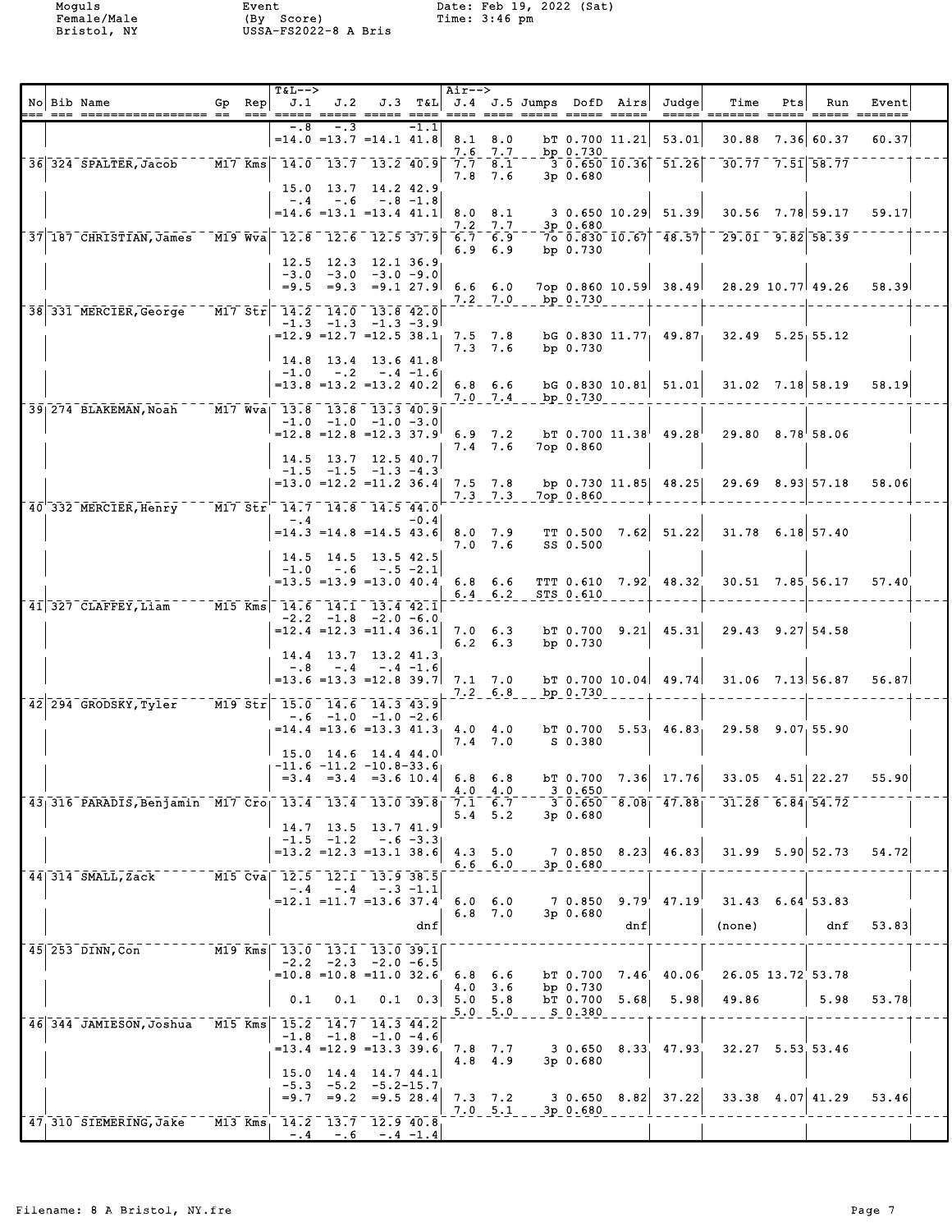|  | No Bib Name                                                                                                       | $Gp$ Rep<br>$== =$ | <b>T&amp;L--&gt;</b><br>J.1 |                                  |                                                                                                                                                                          |                    | Air-->         |                                |          |                                    |      | J.2 J.3 T&L J.4 J.5 Jumps DofD Airs Judge              | Time<br><u>----- ------- ----- ----- ------</u>                        | Pts | Run                    | Event |  |
|--|-------------------------------------------------------------------------------------------------------------------|--------------------|-----------------------------|----------------------------------|--------------------------------------------------------------------------------------------------------------------------------------------------------------------------|--------------------|----------------|--------------------------------|----------|------------------------------------|------|--------------------------------------------------------|------------------------------------------------------------------------|-----|------------------------|-------|--|
|  |                                                                                                                   |                    | $-0.8$                      | $-3$                             | $=14.0$ $=13.7$ $=14.1$ $41.8$                                                                                                                                           | $-1.1$             | 8.1 8.0        | $7.6$ $7.7$                    |          | bp $0.730$                         |      | $bT$ 0.700 11.21 53.01                                 |                                                                        |     | 30.88 7.36 60.37       | 60.37 |  |
|  | 36 324 SPALTER, Jacob                                                                                             |                    |                             |                                  | $\boxed{\texttt{M17}}$ Kms $\boxed{\texttt{14.0}}$ $\boxed{\texttt{13.7}}$ $\boxed{\texttt{13.2}}$ $\boxed{\texttt{40.9}}$ $\boxed{\texttt{7.7}}$ $\boxed{\texttt{8.1}}$ |                    |                | 7.8 7.6                        |          | $3p$ 0.680                         |      | $-3 - 0.650 - 10.36$ $-51.26$                          | $\overline{30.77}$ 7.51 58.77                                          |     |                        |       |  |
|  | 37 187 CHRISTIAN, James                                                                                           | $M19$ Wva          |                             | $-.4-.6$                         | 15.0 13.7 14.2 42.9<br>$-.8 - 1.8$<br>$=14.6$ $=13.1$ $=13.4$ $41.1$<br>$-12.8 - 12.6 - 12.5 - 37.9 - 6.7 - 6.9$                                                         |                    |                | $7.2$ $7.7$                    |          | $3p$ 0.680                         |      | $8.0 \quad 8.1 \qquad 3 \quad 0.650 \quad 10.29$ 51.39 | $700.830$ $10.67$ $48.57$ $-29.01$ $9.82$ $58.39$                      |     | $30.56$ $7.78$ 59.17   | 59.17 |  |
|  | 38 331 MERCIER, George M17 Str 14.2 14.0 13.8 42.0                                                                |                    |                             |                                  | 12.5 12.3 12.1 36.9<br>$-3.0$ $-3.0$ $-3.0$ $-9.0$<br>$=9.5$ $=9.3$ $=9.1$ 27.9 6.6 6.0                                                                                  |                    |                | 6.96.9<br>$7.2$ $7.0$          |          | bp $0.730$<br>bp 0.730             |      |                                                        | 7op 0.860 10.59 38.49 28.29 10.77 49.26                                |     |                        | 58.39 |  |
|  |                                                                                                                   |                    |                             |                                  | $-1.3$ $-1.3$ $-1.3$ $-3.9$<br>$=12.9$ =12.7 =12.5 38.1 7.5 7.8<br>$14.8$ 13.4 13.6 41.8                                                                                 |                    |                | $7.3$ $7.6$                    |          | bp $0.730$                         |      |                                                        | bG 0.830 $11.77$ 49.87 32.49 5.25 55.12                                |     |                        |       |  |
|  |                                                                                                                   |                    |                             |                                  | $-1.0 - .2 - .4 - 1.6$<br>$=13.8$ $=13.2$ $=13.2$ 40.2                                                                                                                   |                    |                | 6.8 6.6<br>$7.0$ $7.4$         | bp 0.730 |                                    |      |                                                        | bG 0.830 10.81 51.01 31.02 7.18 58.19                                  |     |                        | 58.19 |  |
|  | 39 274 BLAKEMAN, Noah M17 Wva 13.8 13.8 13.3 40.9                                                                 |                    |                             |                                  | $-1.0$ $-1.0$ $-1.0$ $-3.0$<br>$=12.8$ = 12.8 = 12.3 37.9 6.9 7.2<br>14.5 13.7 12.5 40.7                                                                                 |                    |                | $7.4$ 7.6                      |          | 7op 0.860                          |      | $bT$ 0.700 11.38 49.28                                 | 29.80 8.78 58.06                                                       |     |                        |       |  |
|  |                                                                                                                   |                    |                             |                                  | $-1.5$ $-1.5$ $-1.3$ $-4.3$<br>$=13.0$ $=12.2$ $=11.2$ 36.4                                                                                                              |                    |                | $7.5$ $7.8$<br>$7.3$ $7.3$     |          | 7ор 0.860                          |      |                                                        | bp 0.730 11.85 48.25 29.69 8.93 57.18                                  |     |                        | 58.06 |  |
|  | $40^{\degree}$ 332 MERCIER, Henry M17 Str <sup><math>-14.7</math></sup> 14.8 14.5 44.0                            |                    | $-.4$                       |                                  | $= 14.3 = 14.8 = 14.543.6$                                                                                                                                               | $-0.41$            |                | 7.0 7.6                        |          | SS 0.500                           |      |                                                        | 8.0 7.9 TT 0.500 7.62 51.22 31.78 6.18 57.40                           |     |                        |       |  |
|  |                                                                                                                   |                    |                             |                                  | $14.5$ $14.5$ $13.5$ $42.5$<br>$-1.0 - .6 - .5 - 2.1$<br>$= 13.5 = 13.9 = 13.0 40.4 6.8 6.6$                                                                             |                    |                | $6.4 \t6.2$                    |          | STS 0.610                          |      | TTT 0.610 7.92 48.32                                   |                                                                        |     | $30.51$ $7.85$ 56.17   | 57.40 |  |
|  | $\overline{41}$ 327 CLAFFEY, Liam M15 Kms $\overline{14.6}$ $\overline{14.1}$ $\overline{13.4}$ $\overline{42.1}$ |                    |                             |                                  | $-2.2$ $-1.8$ $-2.0$ $-6.0$<br>$=12.4$ $=12.3$ $=11.4$ 36.1<br>14.4 13.7 13.2 41.3                                                                                       |                    |                | $7.0 \t6.3$<br>$6.2 \quad 6.3$ |          | bp 0.730                           |      |                                                        | bT 0.700 9.21 45.31 29.43 9.27 54.58                                   |     |                        |       |  |
|  |                                                                                                                   |                    |                             |                                  | $-.8$ $-.4$ $-.4$ $-1.6$<br>$=13.6$ $=13.3$ $=12.8$ 39.7                                                                                                                 |                    | 7.1 7.0        | $7.2\quad 6.8$                 |          | bp $0.730$                         |      |                                                        | $bT$ 0.700 10.04 49.74 31.06 7.13 56.87                                |     |                        | 56.87 |  |
|  | 42 294 GRODSKY, Tyler                                                                                             |                    |                             |                                  | M19 Str 15.0 14.6 14.3 43.9<br>$-.6$ $-1.0$ $-1.0$ $-2.6$<br>$15.0$ $14.6$ $14.4$ $44.0$<br>$-11.6$ $-11.2$ $-10.8-33.6$                                                 |                    |                | $7.4$ 7.0                      |          | S 0.380                            |      |                                                        | $=14.4$ =13.6 =13.3 41.3 4.0 4.0 bT 0.700 5.53 46.83 29.58 9.07 55.90  |     |                        |       |  |
|  |                                                                                                                   |                    |                             |                                  |                                                                                                                                                                          |                    |                | 4.0 4.0                        |          | 30.650                             |      |                                                        | $=3.4$ $=3.4$ $=3.6$ 10.4 6.8 6.8 bT 0.700 7.36 17.76 33.05 4.51 22.27 |     |                        | 55.90 |  |
|  | 43 316 PARADIS, Benjamin M17 Cro 13.4 13.4 13.0 39.8                                                              |                    |                             |                                  | $14.7$ 13.5 13.7 41.9                                                                                                                                                    |                    |                | $7.1 \t6.7$<br>$5.4$ 5.2       |          | $3p$ 0.680                         |      |                                                        | $3\ 0.650\ 8.08$ $47.88$ $31.28\ 6.84$ 54.72                           |     |                        |       |  |
|  | 44 314 SMALL, Zack                                                                                                |                    |                             | $-1.5 -1.2$<br>M15 Cva 12.5 12.1 | $=13.2$ $=12.3$ $=13.1$ 38.6<br>13.938.5                                                                                                                                 | $-.6 -3.3$         |                | 4.3, 5.0<br>$6.6\quad 6.0$     |          | $3p$ 0.680                         |      | 7 0.850 8.23 46.83                                     |                                                                        |     | $31.99$ $5.90$ $52.73$ | 54.72 |  |
|  |                                                                                                                   |                    | $-.4$                       | $-4$                             | $=12.1$ $=11.7$ $=13.6$ 37.4                                                                                                                                             | $-.3 - 1.1$<br>dnf |                | $6.0\quad 6.0$<br>$6.8$ 7.0    |          | 70.850<br>3p 0.680                 | dnf  | $9.79'$ 47.19                                          | $31.43$ 6.64 53.83<br>(none)                                           |     | dnf                    | 53.83 |  |
|  | 45 253 DINN, Con                                                                                                  |                    | 0.1                         | 0.1                              | M19 Kms 13.0 13.1 13.0 39.1<br>$-2.2$ $-2.3$ $-2.0$ $-6.5$<br>$=10.8$ $=10.8$ $=11.0$ 32.6                                                                               | $0.1 \quad 0.3$    | $5.0\quad 5.8$ | $6.8\quad 6.6$<br>$4.0$ 3.6    |          | bT 0.700<br>bp $0.730$<br>bT 0.700 | 5.68 | $7.46$ $40.06$<br>5.98                                 | 26.05 13.72 53.78<br>49.86                                             |     | 5.98                   | 53.78 |  |
|  | 46 344 JAMIESON, Joshua                                                                                           |                    |                             |                                  | M15 Kms 15.2 14.7 14.3 44.2<br>$-1.8$ $-1.8$ $-1.0$ $-4.6$                                                                                                               |                    |                | 5.0 5.0                        |          | S 0.380                            |      |                                                        |                                                                        |     |                        |       |  |
|  |                                                                                                                   |                    |                             |                                  | $= 13.4$ $= 12.9$ $= 13.3$ 39.6<br>$15.0$ $14.4$ $14.7$ $44.1$<br>$-5.3$ $-5.2$ $-5.2$ -15.7                                                                             |                    |                | $7.8$ 7.7<br>$4.8$ $4.9$       |          | $3p$ 0.680                         |      | 3 0.650 8.33 47.93                                     |                                                                        |     | 32.27 5.53 53.46       |       |  |
|  | 47, 310 SIEMERING, Jake                                                                                           |                    | $-0.4$                      |                                  | $=9.7$ $=9.2$ $=9.5$ 28.4<br>M13 Kms 14.2 13.7 12.9 40.8<br>$-.6 - .4 -1.4$                                                                                              |                    |                | $7.3$ $7.2$<br>7.0 5.1         |          | 3p 0.680                           |      | $3 \t0.650 \t8.82 \t37.22$                             |                                                                        |     | $33.38$ 4.07 41.29     | 53.46 |  |